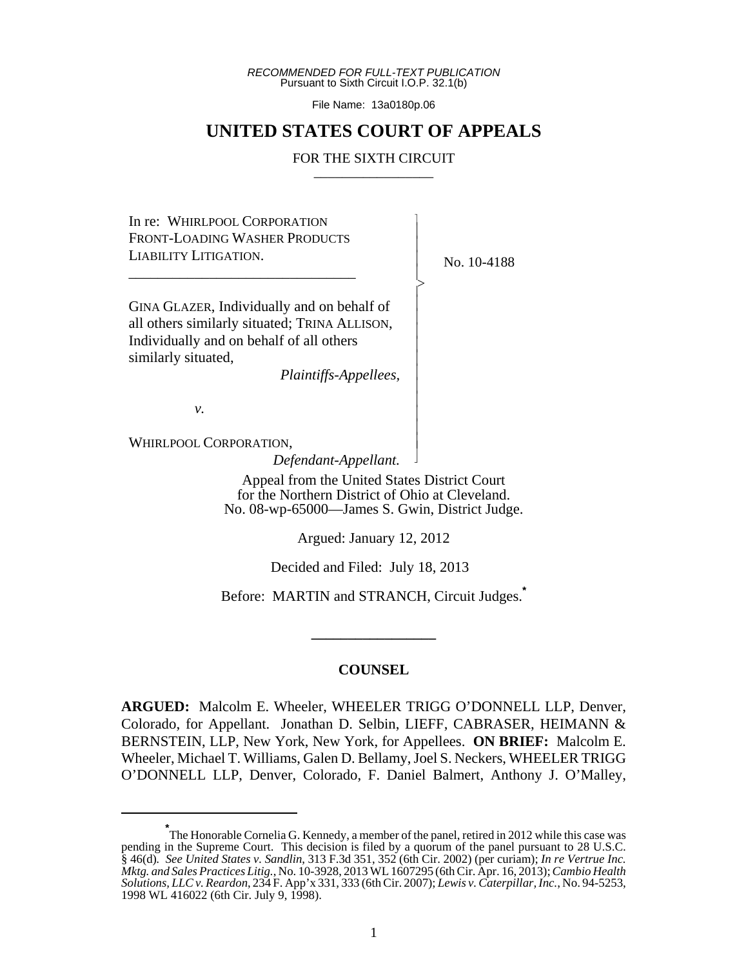*RECOMMENDED FOR FULL-TEXT PUBLICATION* Pursuant to Sixth Circuit I.O.P. 32.1(b)

File Name: 13a0180p.06

## **UNITED STATES COURT OF APPEALS**

#### FOR THE SIXTH CIRCUIT

 $\overline{\phantom{a}}$ - - - > , - - - - - - - - - - - N

In re: WHIRLPOOL CORPORATION FRONT-LOADING WASHER PRODUCTS LIABILITY LITIGATION.

\_\_\_\_\_\_\_\_\_\_\_\_\_\_\_\_\_\_\_\_\_\_\_\_\_\_\_\_\_\_\_

No. 10-4188

GINA GLAZER, Individually and on behalf of all others similarly situated; TRINA ALLISON, Individually and on behalf of all others similarly situated,

*Plaintiffs-Appellees,*

*v.*

WHIRLPOOL CORPORATION,

*Defendant-Appellant.*

Appeal from the United States District Court for the Northern District of Ohio at Cleveland. No. 08-wp-65000—James S. Gwin, District Judge.

Argued: January 12, 2012

Decided and Filed: July 18, 2013

Before: MARTIN and STRANCH, Circuit Judges.**\***

**\_\_\_\_\_\_\_\_\_\_\_\_\_\_\_\_\_**

#### **COUNSEL**

**ARGUED:** Malcolm E. Wheeler, WHEELER TRIGG O'DONNELL LLP, Denver, Colorado, for Appellant. Jonathan D. Selbin, LIEFF, CABRASER, HEIMANN & BERNSTEIN, LLP, New York, New York, for Appellees. **ON BRIEF:** Malcolm E. Wheeler, Michael T. Williams, Galen D. Bellamy, Joel S. Neckers, WHEELER TRIGG O'DONNELL LLP, Denver, Colorado, F. Daniel Balmert, Anthony J. O'Malley,

**<sup>\*</sup>** The Honorable Cornelia G. Kennedy, a member of the panel, retired in 2012 while this case was pending in the Supreme Court. This decision is filed by a quorum of the panel pursuant to 28 U.S.C. § 46(d)*. See United States v. Sandlin*, 313 F.3d 351, 352 (6th Cir. 2002) (per curiam); *In re Vertrue Inc. Mktg. and Sales Practices Litig.*, No. 10-3928, 2013 WL 1607295 (6th Cir. Apr. 16, 2013); *Cambio Health Solutions, LLC v. Reardon*, 234 F. App'x 331, 333 (6th Cir. 2007); *Lewis v. Caterpillar, Inc.*, No. 94-5253, 1998 WL 416022 (6th Cir. July 9, 1998).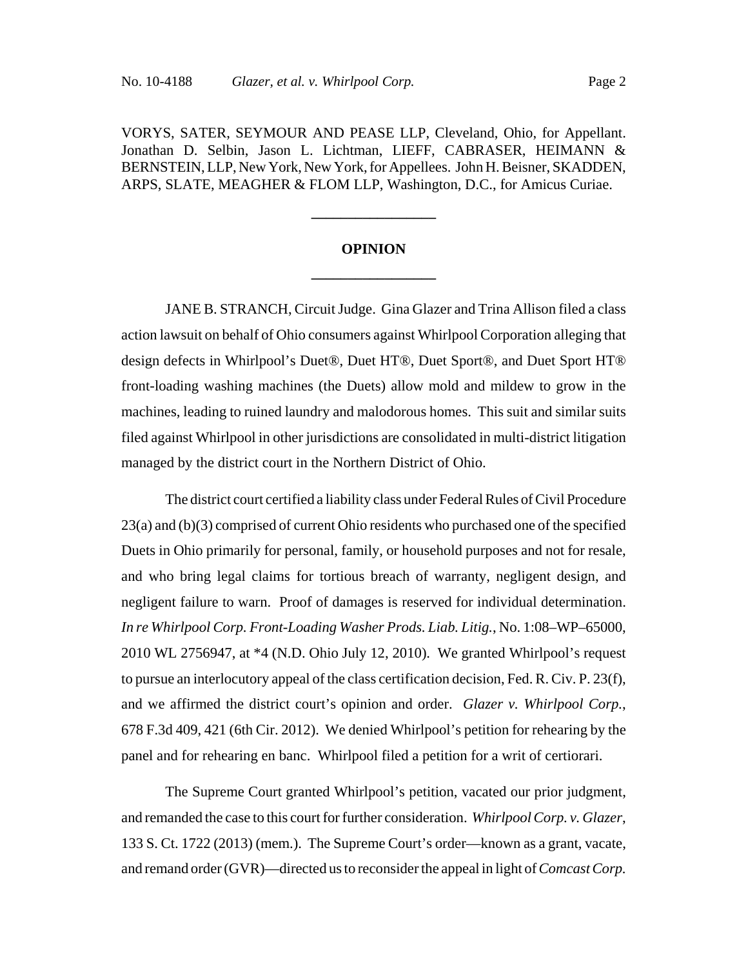VORYS, SATER, SEYMOUR AND PEASE LLP, Cleveland, Ohio, for Appellant. Jonathan D. Selbin, Jason L. Lichtman, LIEFF, CABRASER, HEIMANN & BERNSTEIN, LLP, New York, New York, for Appellees. John H. Beisner, SKADDEN, ARPS, SLATE, MEAGHER & FLOM LLP, Washington, D.C., for Amicus Curiae.

# **OPINION \_\_\_\_\_\_\_\_\_\_\_\_\_\_\_\_\_**

**\_\_\_\_\_\_\_\_\_\_\_\_\_\_\_\_\_**

JANE B. STRANCH, Circuit Judge. Gina Glazer and Trina Allison filed a class action lawsuit on behalf of Ohio consumers against Whirlpool Corporation alleging that design defects in Whirlpool's Duet®, Duet HT®, Duet Sport®, and Duet Sport HT® front-loading washing machines (the Duets) allow mold and mildew to grow in the machines, leading to ruined laundry and malodorous homes. This suit and similar suits filed against Whirlpool in other jurisdictions are consolidated in multi-district litigation managed by the district court in the Northern District of Ohio.

The district court certified a liability class under Federal Rules of Civil Procedure 23(a) and (b)(3) comprised of current Ohio residents who purchased one of the specified Duets in Ohio primarily for personal, family, or household purposes and not for resale, and who bring legal claims for tortious breach of warranty, negligent design, and negligent failure to warn. Proof of damages is reserved for individual determination. *In re Whirlpool Corp. Front-Loading Washer Prods. Liab. Litig.*, No. 1:08–WP–65000, 2010 WL 2756947, at \*4 (N.D. Ohio July 12, 2010). We granted Whirlpool's request to pursue an interlocutory appeal of the class certification decision, Fed. R. Civ. P. 23(f), and we affirmed the district court's opinion and order. *Glazer v. Whirlpool Corp.*, 678 F.3d 409, 421 (6th Cir. 2012). We denied Whirlpool's petition for rehearing by the panel and for rehearing en banc. Whirlpool filed a petition for a writ of certiorari.

The Supreme Court granted Whirlpool's petition, vacated our prior judgment, and remanded the case to this court for further consideration. *Whirlpool Corp. v. Glazer*, 133 S. Ct. 1722 (2013) (mem.). The Supreme Court's order—known as a grant, vacate, and remand order (GVR)—directed us to reconsider the appeal in light of *Comcast Corp.*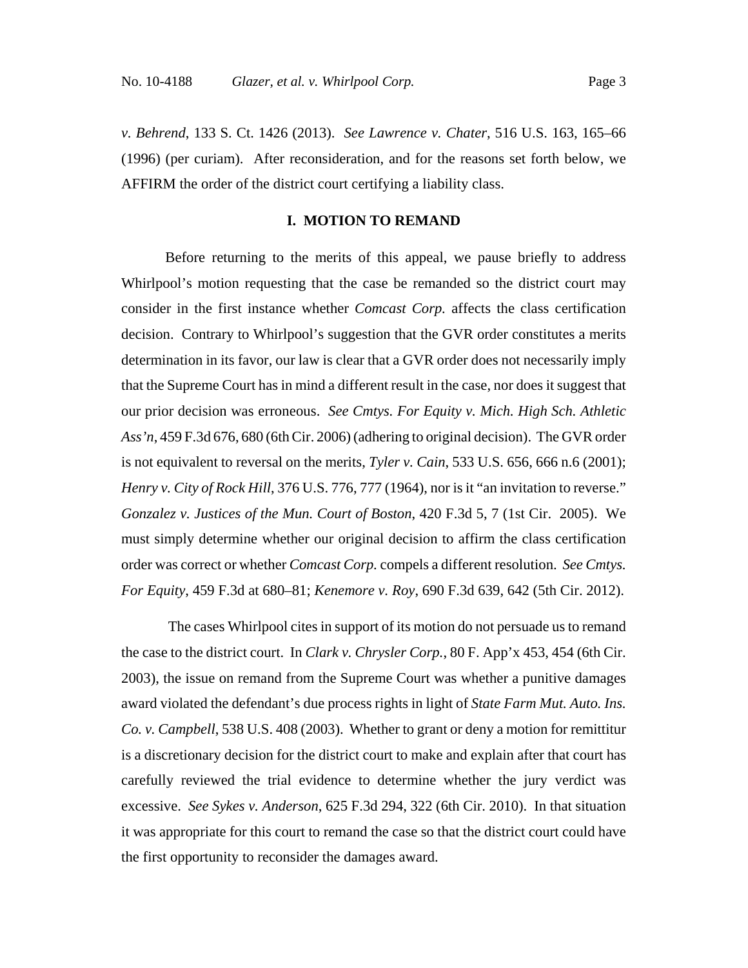*v. Behrend*, 133 S. Ct. 1426 (2013). *See Lawrence v. Chater*, 516 U.S. 163, 165–66 (1996) (per curiam). After reconsideration, and for the reasons set forth below, we AFFIRM the order of the district court certifying a liability class.

## **I. MOTION TO REMAND**

Before returning to the merits of this appeal, we pause briefly to address Whirlpool's motion requesting that the case be remanded so the district court may consider in the first instance whether *Comcast Corp.* affects the class certification decision. Contrary to Whirlpool's suggestion that the GVR order constitutes a merits determination in its favor, our law is clear that a GVR order does not necessarily imply that the Supreme Court has in mind a different result in the case, nor does it suggest that our prior decision was erroneous. *See Cmtys. For Equity v. Mich. High Sch. Athletic Ass'n*, 459 F.3d 676, 680 (6th Cir. 2006) (adhering to original decision). The GVR order is not equivalent to reversal on the merits, *Tyler v. Cain*, 533 U.S. 656, 666 n.6 (2001); *Henry v. City of Rock Hill, 376 U.S. 776, 777 (1964), nor is it "an invitation to reverse." Gonzalez v. Justices of the Mun. Court of Boston*, 420 F.3d 5, 7 (1st Cir. 2005). We must simply determine whether our original decision to affirm the class certification order was correct or whether *Comcast Corp.* compels a different resolution. *See Cmtys. For Equity*, 459 F.3d at 680–81; *Kenemore v. Roy*, 690 F.3d 639, 642 (5th Cir. 2012).

 The cases Whirlpool cites in support of its motion do not persuade us to remand the case to the district court. In *Clark v. Chrysler Corp.*, 80 F. App'x 453, 454 (6th Cir. 2003), the issue on remand from the Supreme Court was whether a punitive damages award violated the defendant's due process rights in light of *State Farm Mut. Auto. Ins. Co. v. Campbell*, 538 U.S. 408 (2003). Whether to grant or deny a motion for remittitur is a discretionary decision for the district court to make and explain after that court has carefully reviewed the trial evidence to determine whether the jury verdict was excessive. *See Sykes v. Anderson*, 625 F.3d 294, 322 (6th Cir. 2010). In that situation it was appropriate for this court to remand the case so that the district court could have the first opportunity to reconsider the damages award.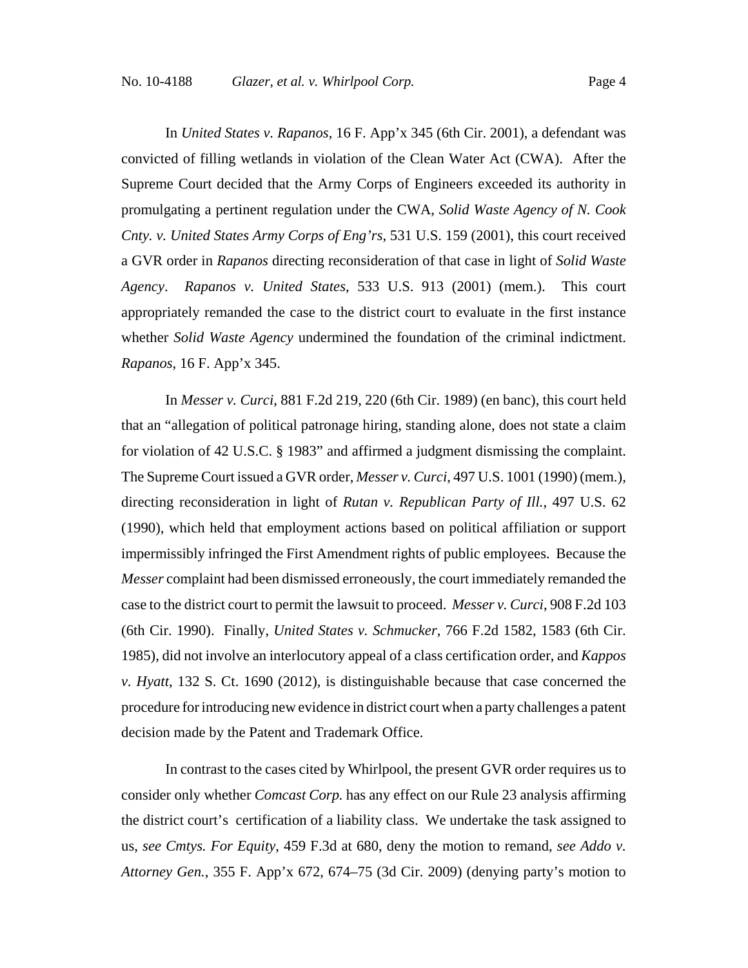In *United States v. Rapanos*, 16 F. App'x 345 (6th Cir. 2001), a defendant was convicted of filling wetlands in violation of the Clean Water Act (CWA). After the Supreme Court decided that the Army Corps of Engineers exceeded its authority in promulgating a pertinent regulation under the CWA, *Solid Waste Agency of N. Cook Cnty. v. United States Army Corps of Eng'rs*, 531 U.S. 159 (2001), this court received a GVR order in *Rapanos* directing reconsideration of that case in light of *Solid Waste Agency*. *Rapanos v. United States*, 533 U.S. 913 (2001) (mem.). This court appropriately remanded the case to the district court to evaluate in the first instance whether *Solid Waste Agency* undermined the foundation of the criminal indictment. *Rapanos*, 16 F. App'x 345.

In *Messer v. Curci*, 881 F.2d 219, 220 (6th Cir. 1989) (en banc), this court held that an "allegation of political patronage hiring, standing alone, does not state a claim for violation of 42 U.S.C. § 1983" and affirmed a judgment dismissing the complaint. The Supreme Court issued a GVR order, *Messer v. Curci*, 497 U.S. 1001 (1990) (mem.), directing reconsideration in light of *Rutan v. Republican Party of Ill.*, 497 U.S. 62 (1990), which held that employment actions based on political affiliation or support impermissibly infringed the First Amendment rights of public employees. Because the *Messer* complaint had been dismissed erroneously, the court immediately remanded the case to the district court to permit the lawsuit to proceed. *Messer v. Curci*, 908 F.2d 103 (6th Cir. 1990). Finally, *United States v. Schmucker*, 766 F.2d 1582, 1583 (6th Cir. 1985), did not involve an interlocutory appeal of a class certification order, and *Kappos v. Hyatt*, 132 S. Ct. 1690 (2012), is distinguishable because that case concerned the procedure for introducing new evidence in district court when a party challenges a patent decision made by the Patent and Trademark Office.

In contrast to the cases cited by Whirlpool, the present GVR order requires us to consider only whether *Comcast Corp.* has any effect on our Rule 23 analysis affirming the district court's certification of a liability class. We undertake the task assigned to us, *see Cmtys. For Equity*, 459 F.3d at 680, deny the motion to remand, *see Addo v. Attorney Gen.*, 355 F. App'x 672, 674–75 (3d Cir. 2009) (denying party's motion to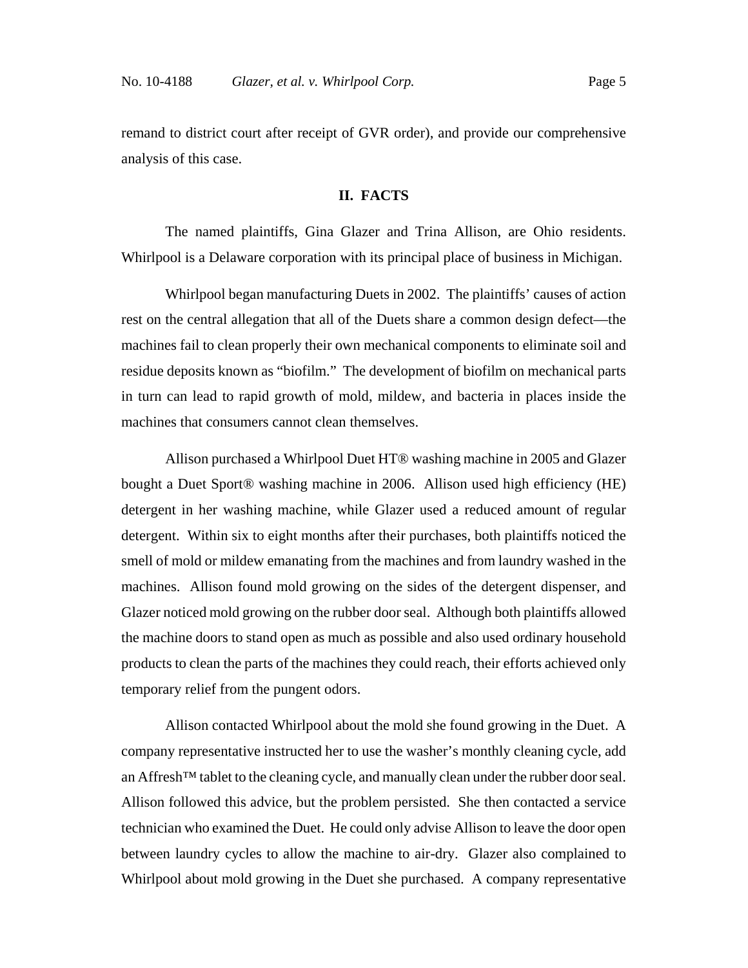remand to district court after receipt of GVR order), and provide our comprehensive analysis of this case.

## **II. FACTS**

The named plaintiffs, Gina Glazer and Trina Allison, are Ohio residents. Whirlpool is a Delaware corporation with its principal place of business in Michigan.

Whirlpool began manufacturing Duets in 2002. The plaintiffs' causes of action rest on the central allegation that all of the Duets share a common design defect—the machines fail to clean properly their own mechanical components to eliminate soil and residue deposits known as "biofilm." The development of biofilm on mechanical parts in turn can lead to rapid growth of mold, mildew, and bacteria in places inside the machines that consumers cannot clean themselves.

Allison purchased a Whirlpool Duet HT® washing machine in 2005 and Glazer bought a Duet Sport® washing machine in 2006. Allison used high efficiency (HE) detergent in her washing machine, while Glazer used a reduced amount of regular detergent. Within six to eight months after their purchases, both plaintiffs noticed the smell of mold or mildew emanating from the machines and from laundry washed in the machines. Allison found mold growing on the sides of the detergent dispenser, and Glazer noticed mold growing on the rubber door seal. Although both plaintiffs allowed the machine doors to stand open as much as possible and also used ordinary household products to clean the parts of the machines they could reach, their efforts achieved only temporary relief from the pungent odors.

Allison contacted Whirlpool about the mold she found growing in the Duet. A company representative instructed her to use the washer's monthly cleaning cycle, add an Affresh™ tablet to the cleaning cycle, and manually clean under the rubber door seal. Allison followed this advice, but the problem persisted. She then contacted a service technician who examined the Duet. He could only advise Allison to leave the door open between laundry cycles to allow the machine to air-dry. Glazer also complained to Whirlpool about mold growing in the Duet she purchased. A company representative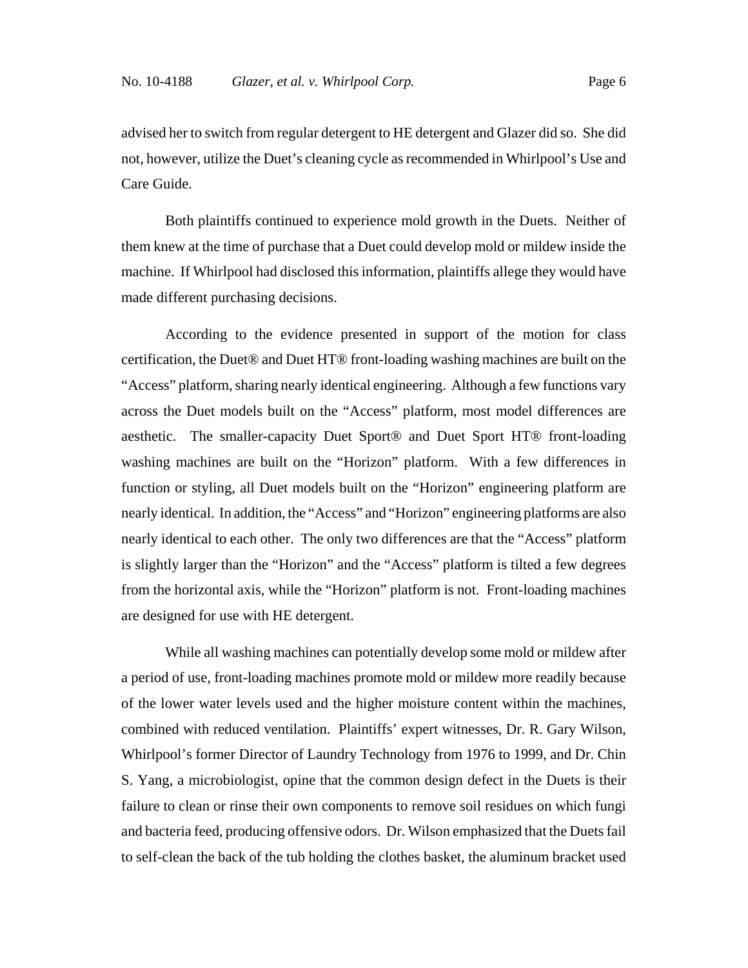advised her to switch from regular detergent to HE detergent and Glazer did so. She did not, however, utilize the Duet's cleaning cycle as recommended in Whirlpool's Use and Care Guide.

Both plaintiffs continued to experience mold growth in the Duets. Neither of them knew at the time of purchase that a Duet could develop mold or mildew inside the machine. If Whirlpool had disclosed this information, plaintiffs allege they would have made different purchasing decisions.

According to the evidence presented in support of the motion for class certification, the Duet® and Duet HT® front-loading washing machines are built on the "Access" platform, sharing nearly identical engineering. Although a few functions vary across the Duet models built on the "Access" platform, most model differences are aesthetic. The smaller-capacity Duet Sport® and Duet Sport HT® front-loading washing machines are built on the "Horizon" platform. With a few differences in function or styling, all Duet models built on the "Horizon" engineering platform are nearly identical. In addition, the "Access" and "Horizon" engineering platforms are also nearly identical to each other. The only two differences are that the "Access" platform is slightly larger than the "Horizon" and the "Access" platform is tilted a few degrees from the horizontal axis, while the "Horizon" platform is not. Front-loading machines are designed for use with HE detergent.

While all washing machines can potentially develop some mold or mildew after a period of use, front-loading machines promote mold or mildew more readily because of the lower water levels used and the higher moisture content within the machines, combined with reduced ventilation. Plaintiffs' expert witnesses, Dr. R. Gary Wilson, Whirlpool's former Director of Laundry Technology from 1976 to 1999, and Dr. Chin S. Yang, a microbiologist, opine that the common design defect in the Duets is their failure to clean or rinse their own components to remove soil residues on which fungi and bacteria feed, producing offensive odors. Dr. Wilson emphasized that the Duets fail to self-clean the back of the tub holding the clothes basket, the aluminum bracket used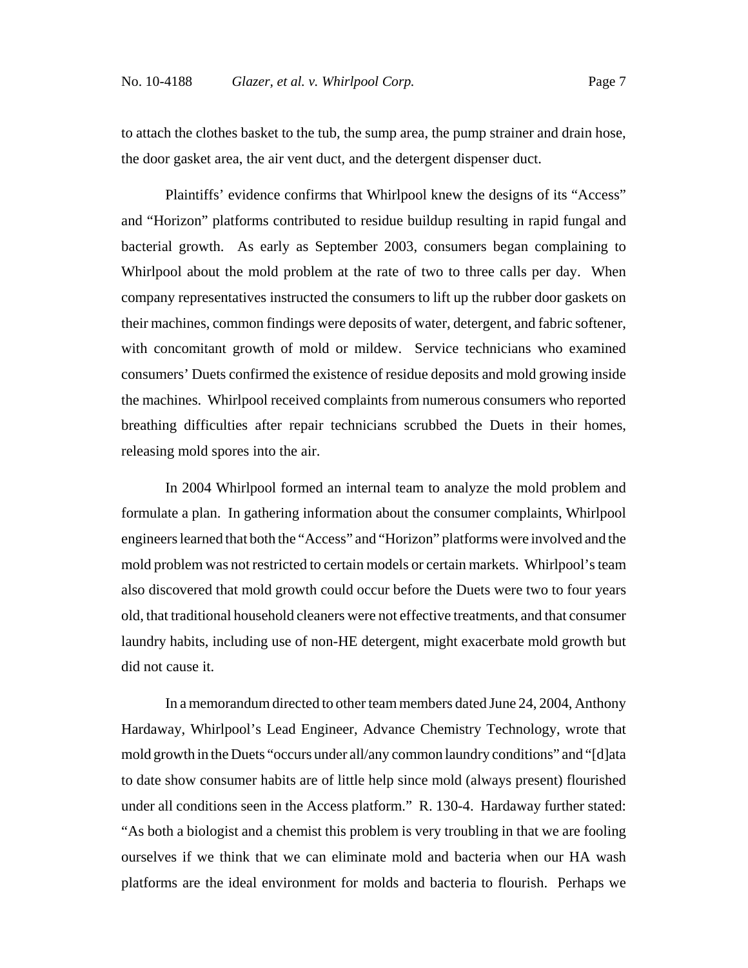to attach the clothes basket to the tub, the sump area, the pump strainer and drain hose, the door gasket area, the air vent duct, and the detergent dispenser duct.

Plaintiffs' evidence confirms that Whirlpool knew the designs of its "Access" and "Horizon" platforms contributed to residue buildup resulting in rapid fungal and bacterial growth. As early as September 2003, consumers began complaining to Whirlpool about the mold problem at the rate of two to three calls per day. When company representatives instructed the consumers to lift up the rubber door gaskets on their machines, common findings were deposits of water, detergent, and fabric softener, with concomitant growth of mold or mildew. Service technicians who examined consumers' Duets confirmed the existence of residue deposits and mold growing inside the machines. Whirlpool received complaints from numerous consumers who reported breathing difficulties after repair technicians scrubbed the Duets in their homes, releasing mold spores into the air.

In 2004 Whirlpool formed an internal team to analyze the mold problem and formulate a plan. In gathering information about the consumer complaints, Whirlpool engineers learned that both the "Access" and "Horizon" platforms were involved and the mold problem was not restricted to certain models or certain markets. Whirlpool's team also discovered that mold growth could occur before the Duets were two to four years old, that traditional household cleaners were not effective treatments, and that consumer laundry habits, including use of non-HE detergent, might exacerbate mold growth but did not cause it.

In a memorandum directed to other team members dated June 24, 2004, Anthony Hardaway, Whirlpool's Lead Engineer, Advance Chemistry Technology, wrote that mold growth in the Duets "occurs under all/any common laundry conditions" and "[d]ata to date show consumer habits are of little help since mold (always present) flourished under all conditions seen in the Access platform." R. 130-4. Hardaway further stated: "As both a biologist and a chemist this problem is very troubling in that we are fooling ourselves if we think that we can eliminate mold and bacteria when our HA wash platforms are the ideal environment for molds and bacteria to flourish. Perhaps we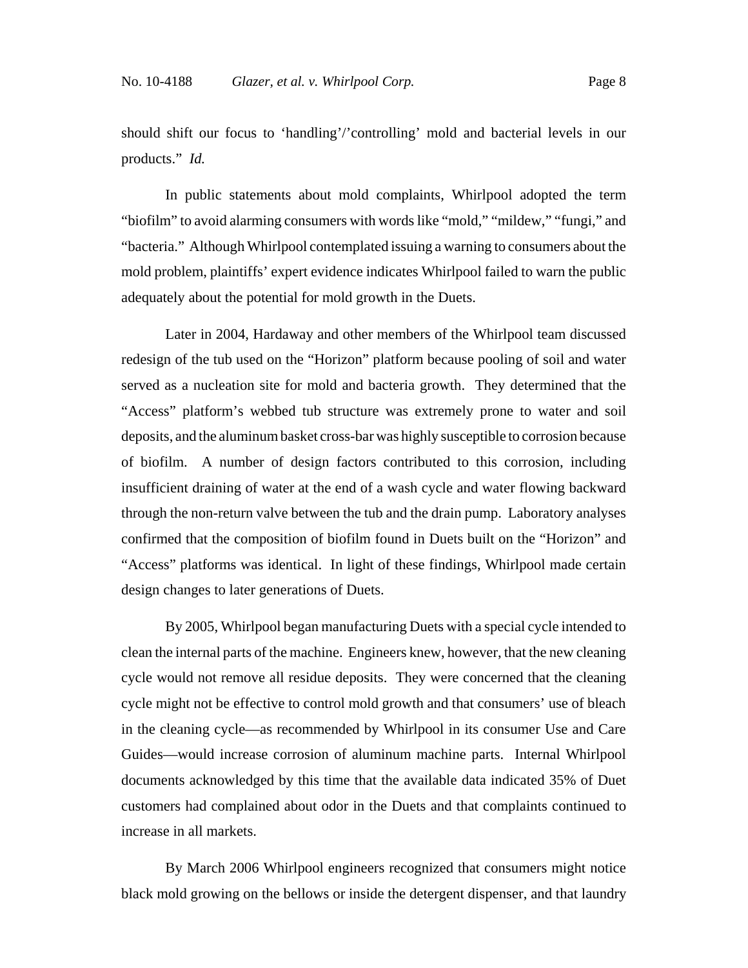should shift our focus to 'handling'/'controlling' mold and bacterial levels in our products." *Id.*

In public statements about mold complaints, Whirlpool adopted the term "biofilm" to avoid alarming consumers with words like "mold," "mildew," "fungi," and "bacteria." Although Whirlpool contemplated issuing a warning to consumers about the mold problem, plaintiffs' expert evidence indicates Whirlpool failed to warn the public adequately about the potential for mold growth in the Duets.

Later in 2004, Hardaway and other members of the Whirlpool team discussed redesign of the tub used on the "Horizon" platform because pooling of soil and water served as a nucleation site for mold and bacteria growth. They determined that the "Access" platform's webbed tub structure was extremely prone to water and soil deposits, and the aluminum basket cross-bar was highly susceptible to corrosion because of biofilm. A number of design factors contributed to this corrosion, including insufficient draining of water at the end of a wash cycle and water flowing backward through the non-return valve between the tub and the drain pump. Laboratory analyses confirmed that the composition of biofilm found in Duets built on the "Horizon" and "Access" platforms was identical. In light of these findings, Whirlpool made certain design changes to later generations of Duets.

By 2005, Whirlpool began manufacturing Duets with a special cycle intended to clean the internal parts of the machine. Engineers knew, however, that the new cleaning cycle would not remove all residue deposits. They were concerned that the cleaning cycle might not be effective to control mold growth and that consumers' use of bleach in the cleaning cycle—as recommended by Whirlpool in its consumer Use and Care Guides—would increase corrosion of aluminum machine parts. Internal Whirlpool documents acknowledged by this time that the available data indicated 35% of Duet customers had complained about odor in the Duets and that complaints continued to increase in all markets.

By March 2006 Whirlpool engineers recognized that consumers might notice black mold growing on the bellows or inside the detergent dispenser, and that laundry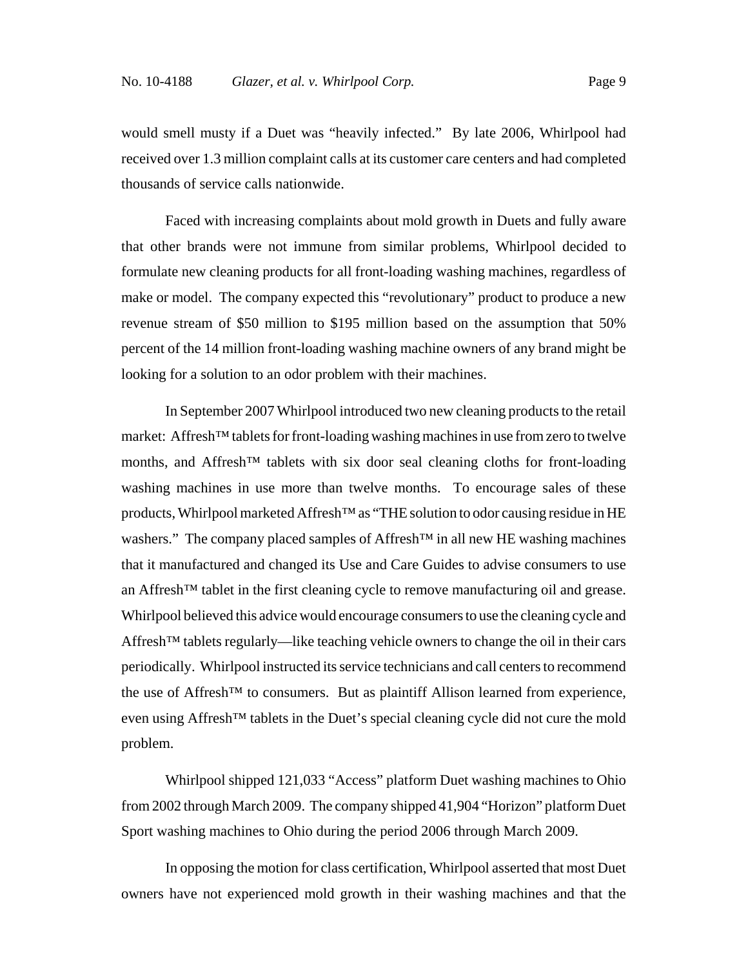would smell musty if a Duet was "heavily infected." By late 2006, Whirlpool had received over 1.3 million complaint calls at its customer care centers and had completed thousands of service calls nationwide.

Faced with increasing complaints about mold growth in Duets and fully aware that other brands were not immune from similar problems, Whirlpool decided to formulate new cleaning products for all front-loading washing machines, regardless of make or model. The company expected this "revolutionary" product to produce a new revenue stream of \$50 million to \$195 million based on the assumption that 50% percent of the 14 million front-loading washing machine owners of any brand might be looking for a solution to an odor problem with their machines.

In September 2007 Whirlpool introduced two new cleaning products to the retail market: Affresh™ tablets for front-loading washing machines in use from zero to twelve months, and Affresh™ tablets with six door seal cleaning cloths for front-loading washing machines in use more than twelve months. To encourage sales of these products, Whirlpool marketed Affresh™ as "THE solution to odor causing residue in HE washers." The company placed samples of Affresh<sup>™</sup> in all new HE washing machines that it manufactured and changed its Use and Care Guides to advise consumers to use an Affresh™ tablet in the first cleaning cycle to remove manufacturing oil and grease. Whirlpool believed this advice would encourage consumers to use the cleaning cycle and  $Affresh^{TM}$  tablets regularly—like teaching vehicle owners to change the oil in their cars periodically. Whirlpool instructed its service technicians and call centers to recommend the use of Affresh™ to consumers. But as plaintiff Allison learned from experience, even using Affresh™ tablets in the Duet's special cleaning cycle did not cure the mold problem.

Whirlpool shipped 121,033 "Access" platform Duet washing machines to Ohio from 2002 through March 2009. The company shipped 41,904 "Horizon" platform Duet Sport washing machines to Ohio during the period 2006 through March 2009.

In opposing the motion for class certification, Whirlpool asserted that most Duet owners have not experienced mold growth in their washing machines and that the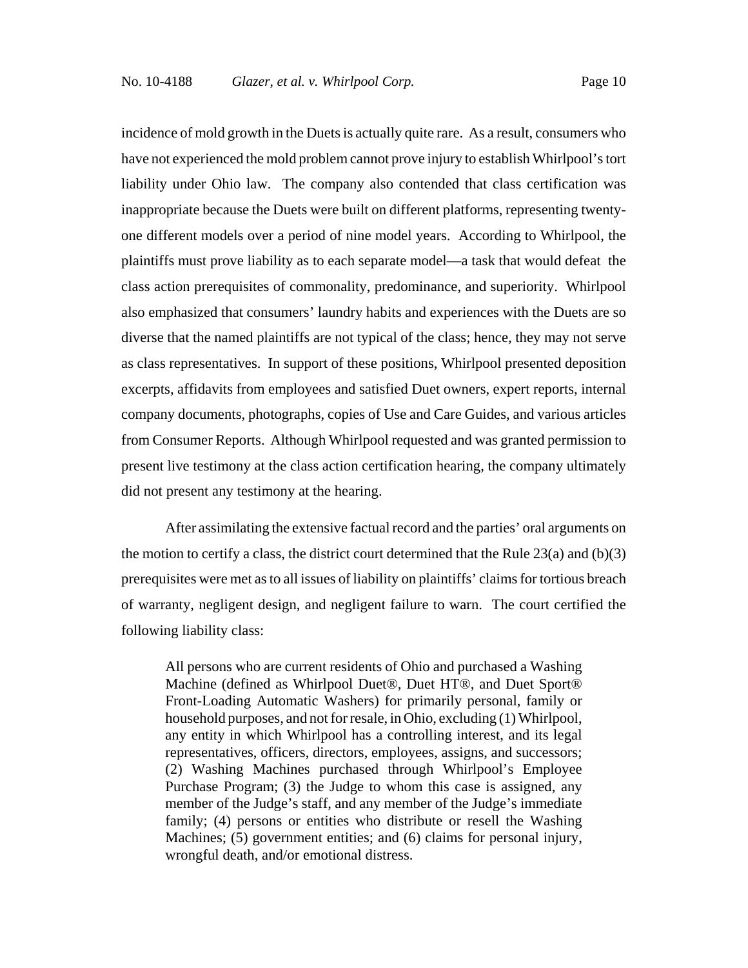incidence of mold growth in the Duets is actually quite rare. As a result, consumers who have not experienced the mold problem cannot prove injury to establish Whirlpool's tort liability under Ohio law. The company also contended that class certification was inappropriate because the Duets were built on different platforms, representing twentyone different models over a period of nine model years. According to Whirlpool, the plaintiffs must prove liability as to each separate model—a task that would defeat the class action prerequisites of commonality, predominance, and superiority. Whirlpool also emphasized that consumers' laundry habits and experiences with the Duets are so diverse that the named plaintiffs are not typical of the class; hence, they may not serve as class representatives. In support of these positions, Whirlpool presented deposition excerpts, affidavits from employees and satisfied Duet owners, expert reports, internal company documents, photographs, copies of Use and Care Guides, and various articles from Consumer Reports. Although Whirlpool requested and was granted permission to present live testimony at the class action certification hearing, the company ultimately did not present any testimony at the hearing.

After assimilating the extensive factual record and the parties' oral arguments on the motion to certify a class, the district court determined that the Rule  $23(a)$  and (b)(3) prerequisites were met as to all issues of liability on plaintiffs' claims for tortious breach of warranty, negligent design, and negligent failure to warn. The court certified the following liability class:

All persons who are current residents of Ohio and purchased a Washing Machine (defined as Whirlpool Duet®, Duet HT®, and Duet Sport® Front-Loading Automatic Washers) for primarily personal, family or household purposes, and not for resale, in Ohio, excluding (1) Whirlpool, any entity in which Whirlpool has a controlling interest, and its legal representatives, officers, directors, employees, assigns, and successors; (2) Washing Machines purchased through Whirlpool's Employee Purchase Program; (3) the Judge to whom this case is assigned, any member of the Judge's staff, and any member of the Judge's immediate family; (4) persons or entities who distribute or resell the Washing Machines; (5) government entities; and (6) claims for personal injury, wrongful death, and/or emotional distress.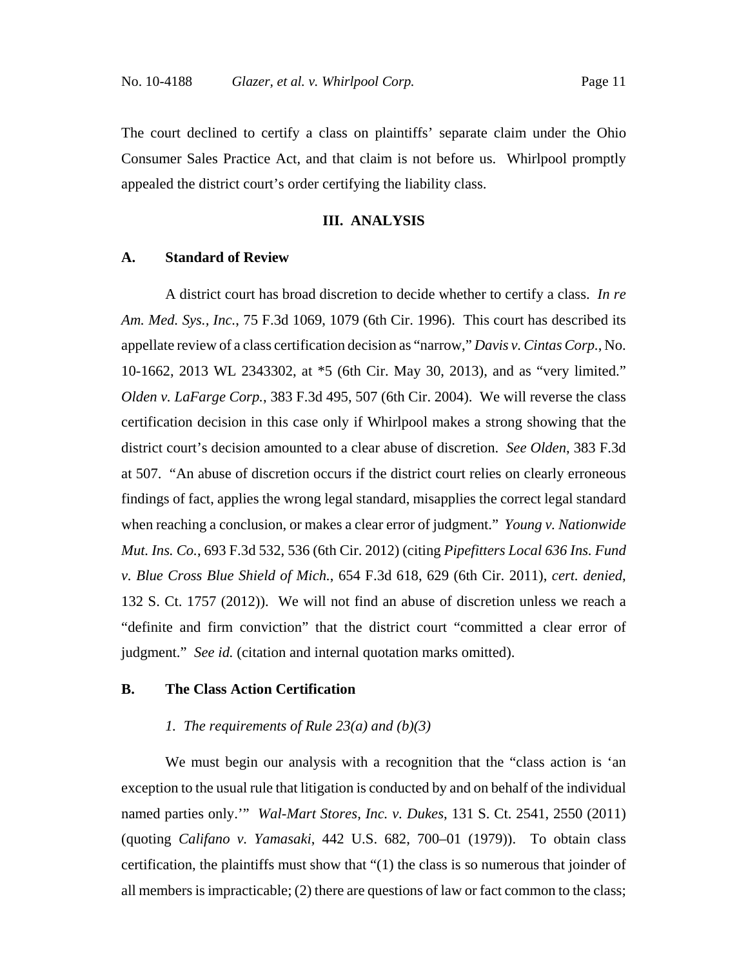The court declined to certify a class on plaintiffs' separate claim under the Ohio Consumer Sales Practice Act, and that claim is not before us. Whirlpool promptly appealed the district court's order certifying the liability class.

## **III. ANALYSIS**

#### **A. Standard of Review**

A district court has broad discretion to decide whether to certify a class. *In re Am. Med. Sys., Inc.*, 75 F.3d 1069, 1079 (6th Cir. 1996). This court has described its appellate review of a class certification decision as "narrow," *Davis v. Cintas Corp.*, No. 10-1662, 2013 WL 2343302, at \*5 (6th Cir. May 30, 2013), and as "very limited." *Olden v. LaFarge Corp.*, 383 F.3d 495, 507 (6th Cir. 2004). We will reverse the class certification decision in this case only if Whirlpool makes a strong showing that the district court's decision amounted to a clear abuse of discretion. *See Olden*, 383 F.3d at 507. "An abuse of discretion occurs if the district court relies on clearly erroneous findings of fact, applies the wrong legal standard, misapplies the correct legal standard when reaching a conclusion, or makes a clear error of judgment." *Young v. Nationwide Mut. Ins. Co.*, 693 F.3d 532, 536 (6th Cir. 2012) (citing *Pipefitters Local 636 Ins. Fund v. Blue Cross Blue Shield of Mich.*, 654 F.3d 618, 629 (6th Cir. 2011), *cert. denied*, 132 S. Ct. 1757 (2012)). We will not find an abuse of discretion unless we reach a "definite and firm conviction" that the district court "committed a clear error of judgment." *See id.* (citation and internal quotation marks omitted).

#### **B. The Class Action Certification**

#### *1. The requirements of Rule 23(a) and (b)(3)*

We must begin our analysis with a recognition that the "class action is 'an exception to the usual rule that litigation is conducted by and on behalf of the individual named parties only.'" *Wal-Mart Stores, Inc. v. Dukes*, 131 S. Ct. 2541, 2550 (2011) (quoting *Califano v. Yamasaki*, 442 U.S. 682, 700–01 (1979)). To obtain class certification, the plaintiffs must show that "(1) the class is so numerous that joinder of all members is impracticable; (2) there are questions of law or fact common to the class;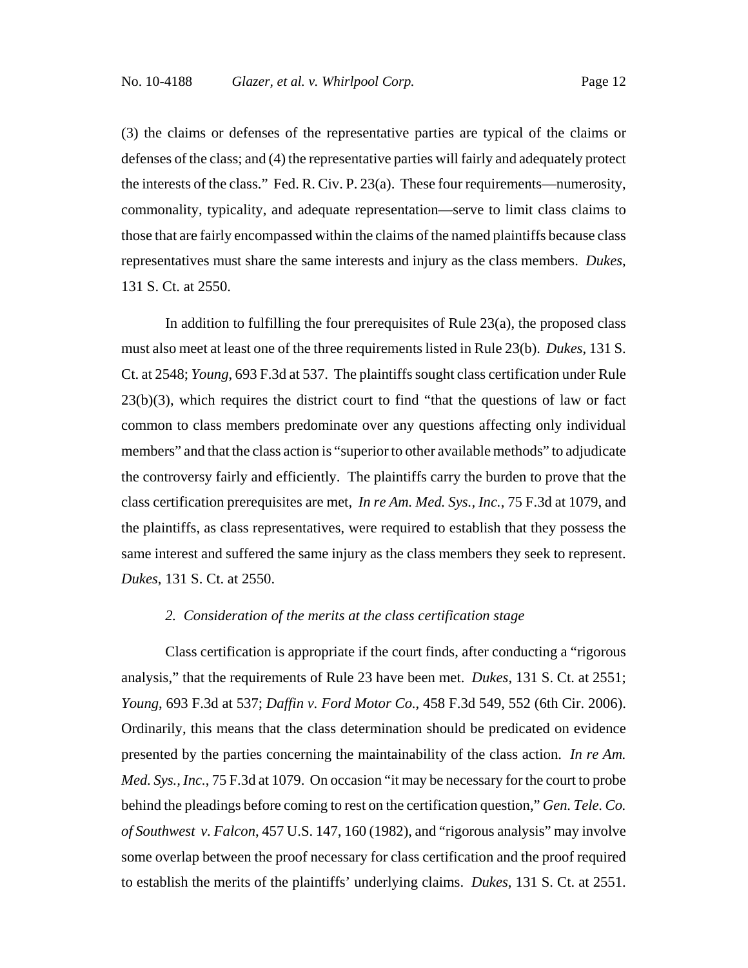(3) the claims or defenses of the representative parties are typical of the claims or defenses of the class; and (4) the representative parties will fairly and adequately protect the interests of the class." Fed. R. Civ. P. 23(a). These four requirements—numerosity, commonality, typicality, and adequate representation—serve to limit class claims to those that are fairly encompassed within the claims of the named plaintiffs because class representatives must share the same interests and injury as the class members. *Dukes*, 131 S. Ct. at 2550.

In addition to fulfilling the four prerequisites of Rule  $23(a)$ , the proposed class must also meet at least one of the three requirements listed in Rule 23(b). *Dukes*, 131 S. Ct. at 2548; *Young*, 693 F.3d at 537. The plaintiffs sought class certification under Rule 23(b)(3), which requires the district court to find "that the questions of law or fact common to class members predominate over any questions affecting only individual members" and that the class action is "superior to other available methods" to adjudicate the controversy fairly and efficiently. The plaintiffs carry the burden to prove that the class certification prerequisites are met, *In re Am. Med. Sys., Inc.*, 75 F.3d at 1079, and the plaintiffs, as class representatives, were required to establish that they possess the same interest and suffered the same injury as the class members they seek to represent. *Dukes*, 131 S. Ct. at 2550.

#### *2. Consideration of the merits at the class certification stage*

Class certification is appropriate if the court finds, after conducting a "rigorous analysis," that the requirements of Rule 23 have been met. *Dukes*, 131 S. Ct. at 2551; *Young*, 693 F.3d at 537; *Daffin v. Ford Motor Co.*, 458 F.3d 549, 552 (6th Cir. 2006). Ordinarily, this means that the class determination should be predicated on evidence presented by the parties concerning the maintainability of the class action. *In re Am. Med. Sys., Inc.*, 75 F.3d at 1079. On occasion "it may be necessary for the court to probe behind the pleadings before coming to rest on the certification question," *Gen. Tele. Co. of Southwest v. Falcon*, 457 U.S. 147, 160 (1982), and "rigorous analysis" may involve some overlap between the proof necessary for class certification and the proof required to establish the merits of the plaintiffs' underlying claims. *Dukes*, 131 S. Ct. at 2551.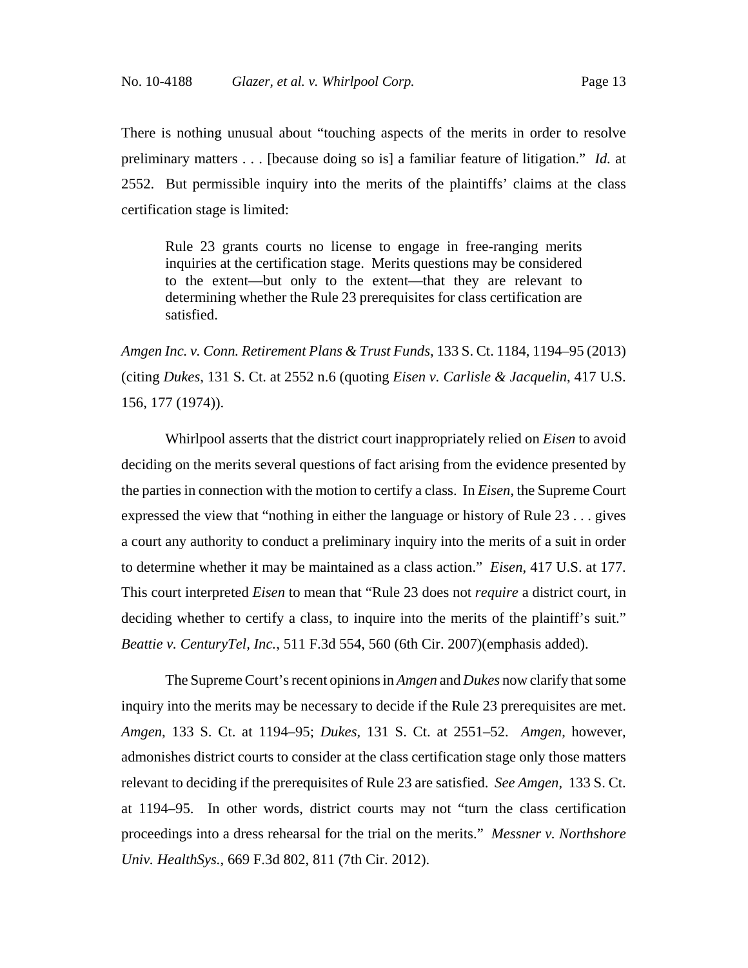There is nothing unusual about "touching aspects of the merits in order to resolve preliminary matters . . . [because doing so is] a familiar feature of litigation." *Id.* at 2552. But permissible inquiry into the merits of the plaintiffs' claims at the class certification stage is limited:

Rule 23 grants courts no license to engage in free-ranging merits inquiries at the certification stage. Merits questions may be considered to the extent—but only to the extent—that they are relevant to determining whether the Rule 23 prerequisites for class certification are satisfied.

*Amgen Inc. v. Conn. Retirement Plans & Trust Funds*, 133 S. Ct. 1184, 1194–95 (2013) (citing *Dukes*, 131 S. Ct. at 2552 n.6 (quoting *Eisen v. Carlisle & Jacquelin*, 417 U.S. 156, 177 (1974)).

Whirlpool asserts that the district court inappropriately relied on *Eisen* to avoid deciding on the merits several questions of fact arising from the evidence presented by the parties in connection with the motion to certify a class. In *Eisen*, the Supreme Court expressed the view that "nothing in either the language or history of Rule 23 . . . gives a court any authority to conduct a preliminary inquiry into the merits of a suit in order to determine whether it may be maintained as a class action." *Eisen*, 417 U.S. at 177. This court interpreted *Eisen* to mean that "Rule 23 does not *require* a district court, in deciding whether to certify a class, to inquire into the merits of the plaintiff's suit." *Beattie v. CenturyTel, Inc.*, 511 F.3d 554, 560 (6th Cir. 2007)(emphasis added).

The Supreme Court's recent opinions in *Amgen* and *Dukes* now clarify that some inquiry into the merits may be necessary to decide if the Rule 23 prerequisites are met. *Amgen*, 133 S. Ct. at 1194–95; *Dukes*, 131 S. Ct. at 2551–52. *Amgen*, however, admonishes district courts to consider at the class certification stage only those matters relevant to deciding if the prerequisites of Rule 23 are satisfied. *See Amgen*, 133 S. Ct. at 1194–95. In other words, district courts may not "turn the class certification proceedings into a dress rehearsal for the trial on the merits." *Messner v. Northshore Univ. HealthSys.*, 669 F.3d 802, 811 (7th Cir. 2012).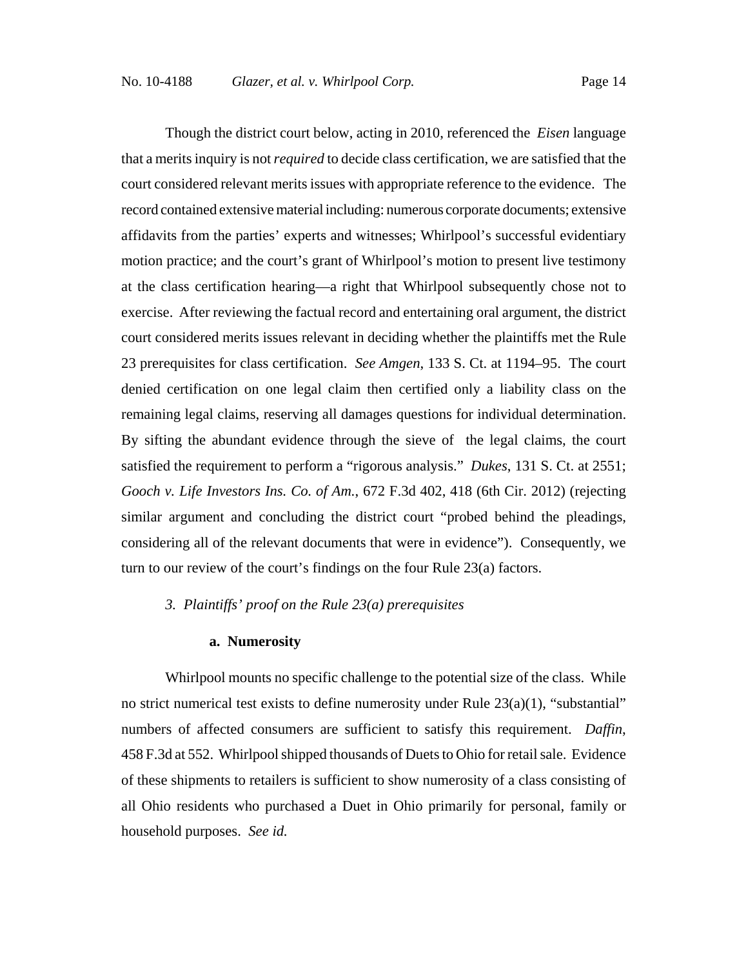Though the district court below, acting in 2010, referenced the *Eisen* language that a merits inquiry is not *required* to decide class certification, we are satisfied that the court considered relevant merits issues with appropriate reference to the evidence. The record contained extensive material including: numerous corporate documents; extensive affidavits from the parties' experts and witnesses; Whirlpool's successful evidentiary motion practice; and the court's grant of Whirlpool's motion to present live testimony at the class certification hearing—a right that Whirlpool subsequently chose not to exercise. After reviewing the factual record and entertaining oral argument, the district court considered merits issues relevant in deciding whether the plaintiffs met the Rule 23 prerequisites for class certification. *See Amgen*, 133 S. Ct. at 1194–95. The court denied certification on one legal claim then certified only a liability class on the remaining legal claims, reserving all damages questions for individual determination. By sifting the abundant evidence through the sieve of the legal claims, the court satisfied the requirement to perform a "rigorous analysis." *Dukes*, 131 S. Ct. at 2551; *Gooch v. Life Investors Ins. Co. of Am.*, 672 F.3d 402, 418 (6th Cir. 2012) (rejecting similar argument and concluding the district court "probed behind the pleadings, considering all of the relevant documents that were in evidence"). Consequently, we turn to our review of the court's findings on the four Rule 23(a) factors.

## *3. Plaintiffs' proof on the Rule 23(a) prerequisites*

#### **a. Numerosity**

Whirlpool mounts no specific challenge to the potential size of the class. While no strict numerical test exists to define numerosity under Rule  $23(a)(1)$ , "substantial" numbers of affected consumers are sufficient to satisfy this requirement. *Daffin*, 458 F.3d at 552. Whirlpool shipped thousands of Duets to Ohio for retail sale. Evidence of these shipments to retailers is sufficient to show numerosity of a class consisting of all Ohio residents who purchased a Duet in Ohio primarily for personal, family or household purposes. *See id.*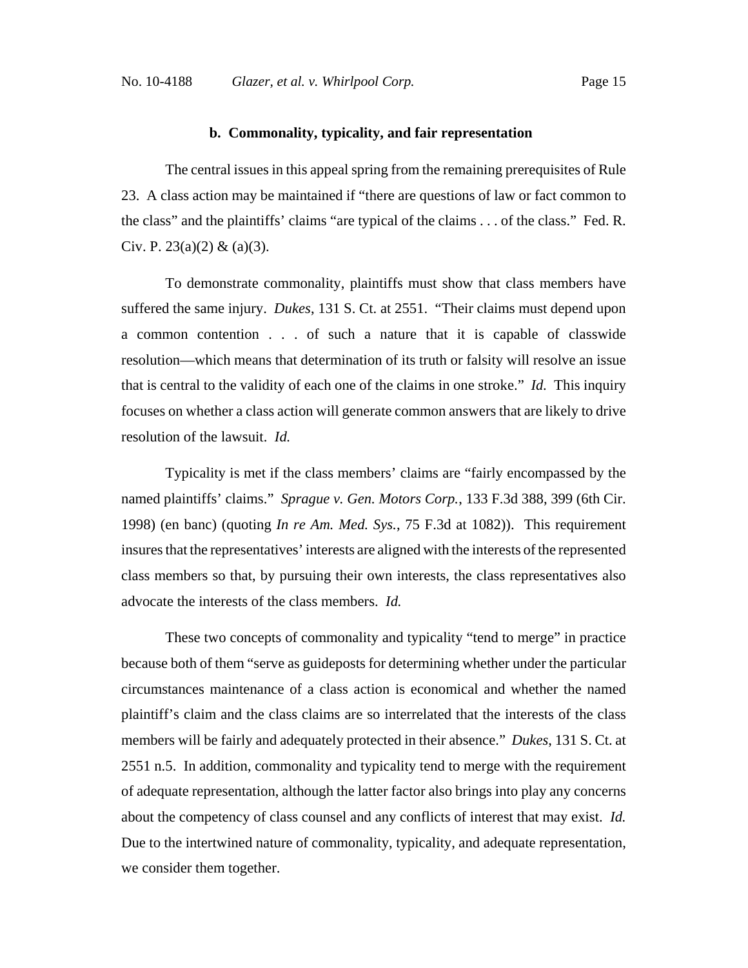## **b. Commonality, typicality, and fair representation**

The central issues in this appeal spring from the remaining prerequisites of Rule 23. A class action may be maintained if "there are questions of law or fact common to the class" and the plaintiffs' claims "are typical of the claims . . . of the class." Fed. R. Civ. P.  $23(a)(2) \& (a)(3)$ .

To demonstrate commonality, plaintiffs must show that class members have suffered the same injury. *Dukes*, 131 S. Ct. at 2551. "Their claims must depend upon a common contention . . . of such a nature that it is capable of classwide resolution—which means that determination of its truth or falsity will resolve an issue that is central to the validity of each one of the claims in one stroke." *Id.* This inquiry focuses on whether a class action will generate common answers that are likely to drive resolution of the lawsuit. *Id.*

Typicality is met if the class members' claims are "fairly encompassed by the named plaintiffs' claims." *Sprague v. Gen. Motors Corp.*, 133 F.3d 388, 399 (6th Cir. 1998) (en banc) (quoting *In re Am. Med. Sys.*, 75 F.3d at 1082)). This requirement insures that the representatives' interests are aligned with the interests of the represented class members so that, by pursuing their own interests, the class representatives also advocate the interests of the class members. *Id.*

These two concepts of commonality and typicality "tend to merge" in practice because both of them "serve as guideposts for determining whether under the particular circumstances maintenance of a class action is economical and whether the named plaintiff's claim and the class claims are so interrelated that the interests of the class members will be fairly and adequately protected in their absence." *Dukes*, 131 S. Ct. at 2551 n.5. In addition, commonality and typicality tend to merge with the requirement of adequate representation, although the latter factor also brings into play any concerns about the competency of class counsel and any conflicts of interest that may exist. *Id.* Due to the intertwined nature of commonality, typicality, and adequate representation, we consider them together.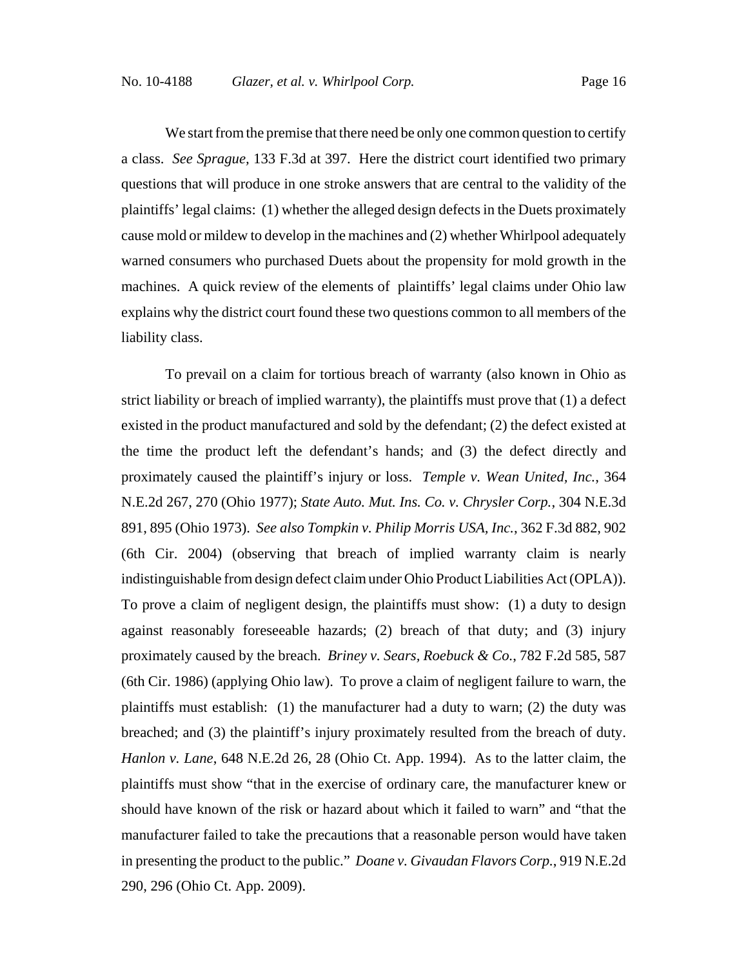We start from the premise that there need be only one common question to certify a class. *See Sprague,* 133 F.3d at 397. Here the district court identified two primary questions that will produce in one stroke answers that are central to the validity of the plaintiffs' legal claims: (1) whether the alleged design defects in the Duets proximately cause mold or mildew to develop in the machines and (2) whether Whirlpool adequately warned consumers who purchased Duets about the propensity for mold growth in the machines. A quick review of the elements of plaintiffs' legal claims under Ohio law explains why the district court found these two questions common to all members of the liability class.

To prevail on a claim for tortious breach of warranty (also known in Ohio as strict liability or breach of implied warranty), the plaintiffs must prove that (1) a defect existed in the product manufactured and sold by the defendant; (2) the defect existed at the time the product left the defendant's hands; and (3) the defect directly and proximately caused the plaintiff's injury or loss. *Temple v. Wean United, Inc.*, 364 N.E.2d 267, 270 (Ohio 1977); *State Auto. Mut. Ins. Co. v. Chrysler Corp.*, 304 N.E.3d 891, 895 (Ohio 1973). *See also Tompkin v. Philip Morris USA, Inc.*, 362 F.3d 882, 902 (6th Cir. 2004) (observing that breach of implied warranty claim is nearly indistinguishable from design defect claim under Ohio Product Liabilities Act (OPLA)). To prove a claim of negligent design, the plaintiffs must show: (1) a duty to design against reasonably foreseeable hazards; (2) breach of that duty; and (3) injury proximately caused by the breach. *Briney v. Sears, Roebuck & Co.*, 782 F.2d 585, 587 (6th Cir. 1986) (applying Ohio law). To prove a claim of negligent failure to warn, the plaintiffs must establish: (1) the manufacturer had a duty to warn; (2) the duty was breached; and (3) the plaintiff's injury proximately resulted from the breach of duty. *Hanlon v. Lane*, 648 N.E.2d 26, 28 (Ohio Ct. App. 1994). As to the latter claim, the plaintiffs must show "that in the exercise of ordinary care, the manufacturer knew or should have known of the risk or hazard about which it failed to warn" and "that the manufacturer failed to take the precautions that a reasonable person would have taken in presenting the product to the public." *Doane v. Givaudan Flavors Corp.*, 919 N.E.2d 290, 296 (Ohio Ct. App. 2009).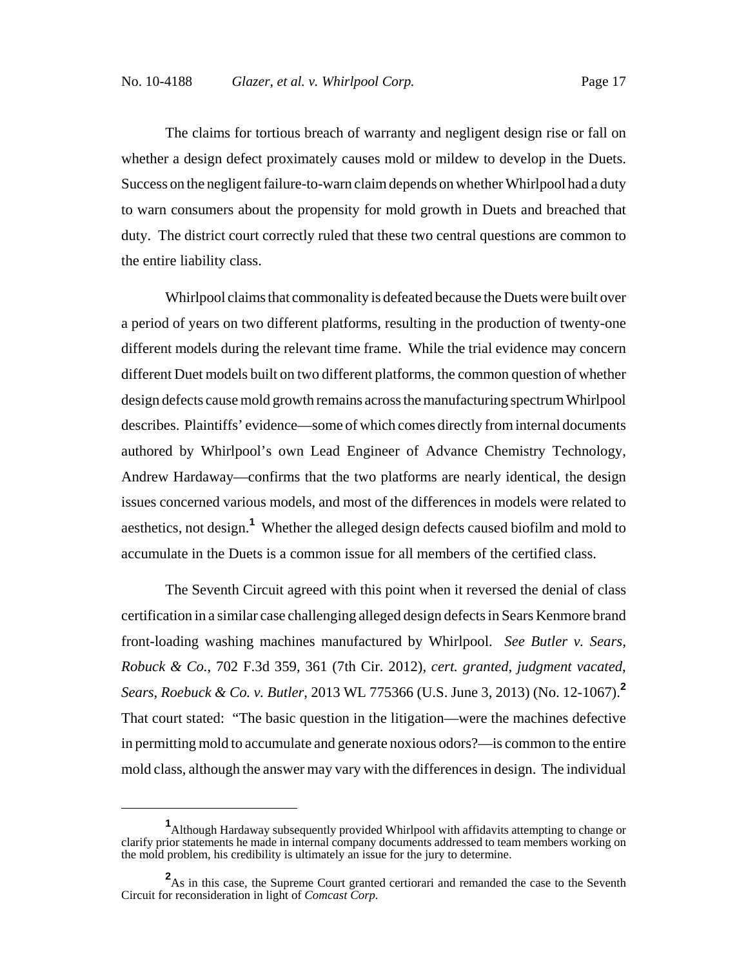The claims for tortious breach of warranty and negligent design rise or fall on whether a design defect proximately causes mold or mildew to develop in the Duets. Success on the negligent failure-to-warn claim depends on whether Whirlpool had a duty to warn consumers about the propensity for mold growth in Duets and breached that duty. The district court correctly ruled that these two central questions are common to the entire liability class.

Whirlpool claims that commonality is defeated because the Duets were built over a period of years on two different platforms, resulting in the production of twenty-one different models during the relevant time frame. While the trial evidence may concern different Duet models built on two different platforms, the common question of whether design defects cause mold growth remains across the manufacturing spectrum Whirlpool describes. Plaintiffs' evidence—some of which comes directly from internal documents authored by Whirlpool's own Lead Engineer of Advance Chemistry Technology, Andrew Hardaway—confirms that the two platforms are nearly identical, the design issues concerned various models, and most of the differences in models were related to aesthetics, not design.**<sup>1</sup>** Whether the alleged design defects caused biofilm and mold to accumulate in the Duets is a common issue for all members of the certified class.

The Seventh Circuit agreed with this point when it reversed the denial of class certification in a similar case challenging alleged design defects in Sears Kenmore brand front-loading washing machines manufactured by Whirlpool. *See Butler v. Sears, Robuck & Co.*, 702 F.3d 359, 361 (7th Cir. 2012), *cert. granted*, *judgment vacated*, *Sears, Roebuck & Co. v. Butler*, 2013 WL 775366 (U.S. June 3, 2013) (No. 12-1067).**<sup>2</sup>** That court stated: "The basic question in the litigation—were the machines defective in permitting mold to accumulate and generate noxious odors?—is common to the entire mold class, although the answer may vary with the differences in design. The individual

**<sup>1</sup>** Although Hardaway subsequently provided Whirlpool with affidavits attempting to change or clarify prior statements he made in internal company documents addressed to team members working on the mold problem, his credibility is ultimately an issue for the jury to determine.

<sup>&</sup>lt;sup>2</sup>As in this case, the Supreme Court granted certiorari and remanded the case to the Seventh Circuit for reconsideration in light of *Comcast Corp.*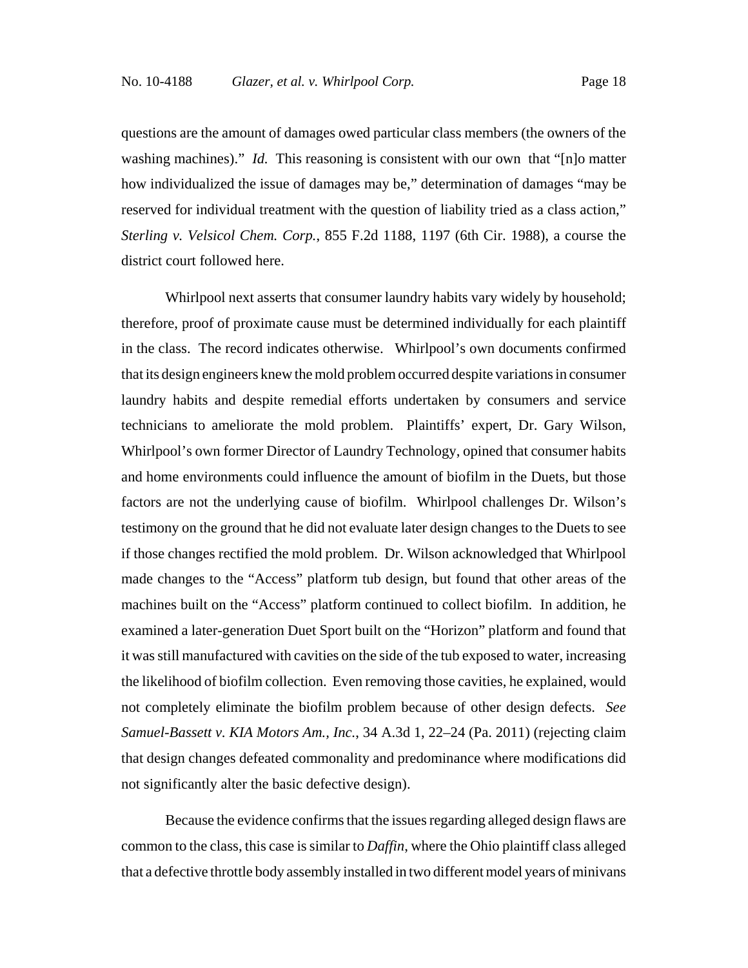questions are the amount of damages owed particular class members (the owners of the washing machines)." *Id.* This reasoning is consistent with our own that "[n]o matter how individualized the issue of damages may be," determination of damages "may be reserved for individual treatment with the question of liability tried as a class action," *Sterling v. Velsicol Chem. Corp.*, 855 F.2d 1188, 1197 (6th Cir. 1988), a course the district court followed here.

Whirlpool next asserts that consumer laundry habits vary widely by household; therefore, proof of proximate cause must be determined individually for each plaintiff in the class. The record indicates otherwise. Whirlpool's own documents confirmed that its design engineers knew the mold problem occurred despite variations in consumer laundry habits and despite remedial efforts undertaken by consumers and service technicians to ameliorate the mold problem. Plaintiffs' expert, Dr. Gary Wilson, Whirlpool's own former Director of Laundry Technology, opined that consumer habits and home environments could influence the amount of biofilm in the Duets, but those factors are not the underlying cause of biofilm. Whirlpool challenges Dr. Wilson's testimony on the ground that he did not evaluate later design changes to the Duets to see if those changes rectified the mold problem. Dr. Wilson acknowledged that Whirlpool made changes to the "Access" platform tub design, but found that other areas of the machines built on the "Access" platform continued to collect biofilm. In addition, he examined a later-generation Duet Sport built on the "Horizon" platform and found that it was still manufactured with cavities on the side of the tub exposed to water, increasing the likelihood of biofilm collection. Even removing those cavities, he explained, would not completely eliminate the biofilm problem because of other design defects. *See Samuel-Bassett v. KIA Motors Am., Inc.*, 34 A.3d 1, 22–24 (Pa. 2011) (rejecting claim that design changes defeated commonality and predominance where modifications did not significantly alter the basic defective design).

Because the evidence confirms that the issues regarding alleged design flaws are common to the class, this case is similar to *Daffin*, where the Ohio plaintiff class alleged that a defective throttle body assembly installed in two different model years of minivans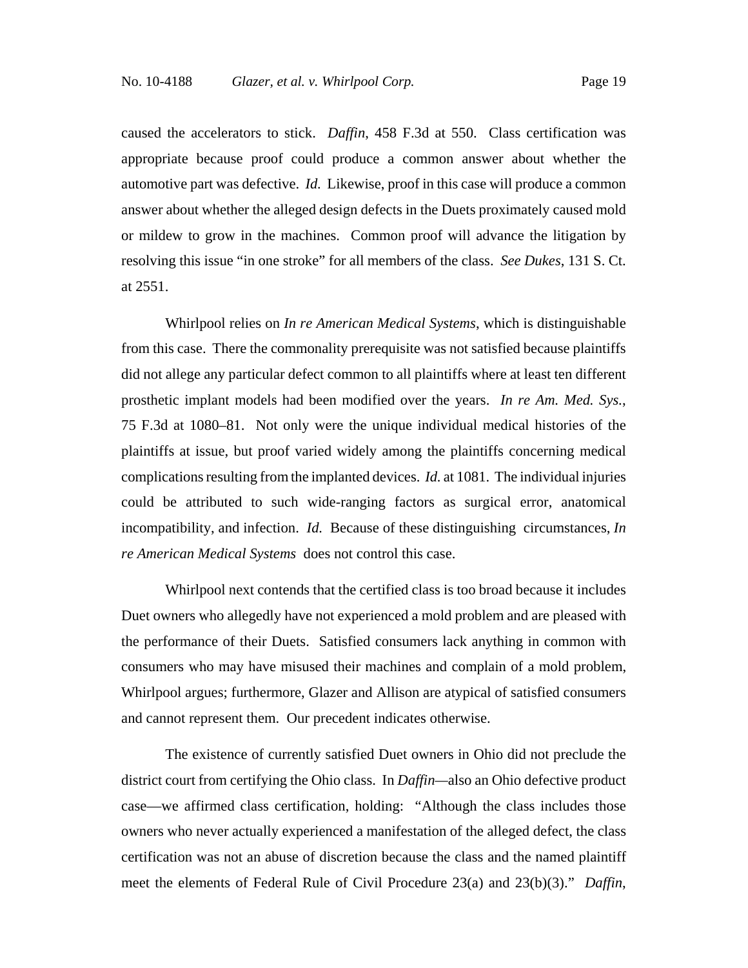caused the accelerators to stick. *Daffin*, 458 F.3d at 550. Class certification was appropriate because proof could produce a common answer about whether the automotive part was defective. *Id.* Likewise, proof in this case will produce a common answer about whether the alleged design defects in the Duets proximately caused mold or mildew to grow in the machines. Common proof will advance the litigation by resolving this issue "in one stroke" for all members of the class. *See Dukes*, 131 S. Ct. at 2551.

Whirlpool relies on *In re American Medical Systems*, which is distinguishable from this case. There the commonality prerequisite was not satisfied because plaintiffs did not allege any particular defect common to all plaintiffs where at least ten different prosthetic implant models had been modified over the years. *In re Am. Med. Sys.*, 75 F.3d at 1080–81. Not only were the unique individual medical histories of the plaintiffs at issue, but proof varied widely among the plaintiffs concerning medical complications resulting from the implanted devices. *Id.* at 1081. The individual injuries could be attributed to such wide-ranging factors as surgical error, anatomical incompatibility, and infection. *Id.* Because of these distinguishing circumstances, *In re American Medical Systems* does not control this case.

Whirlpool next contends that the certified class is too broad because it includes Duet owners who allegedly have not experienced a mold problem and are pleased with the performance of their Duets. Satisfied consumers lack anything in common with consumers who may have misused their machines and complain of a mold problem, Whirlpool argues; furthermore, Glazer and Allison are atypical of satisfied consumers and cannot represent them. Our precedent indicates otherwise.

The existence of currently satisfied Duet owners in Ohio did not preclude the district court from certifying the Ohio class. In *Daffin—*also an Ohio defective product case—we affirmed class certification, holding: "Although the class includes those owners who never actually experienced a manifestation of the alleged defect, the class certification was not an abuse of discretion because the class and the named plaintiff meet the elements of Federal Rule of Civil Procedure 23(a) and 23(b)(3)." *Daffin*,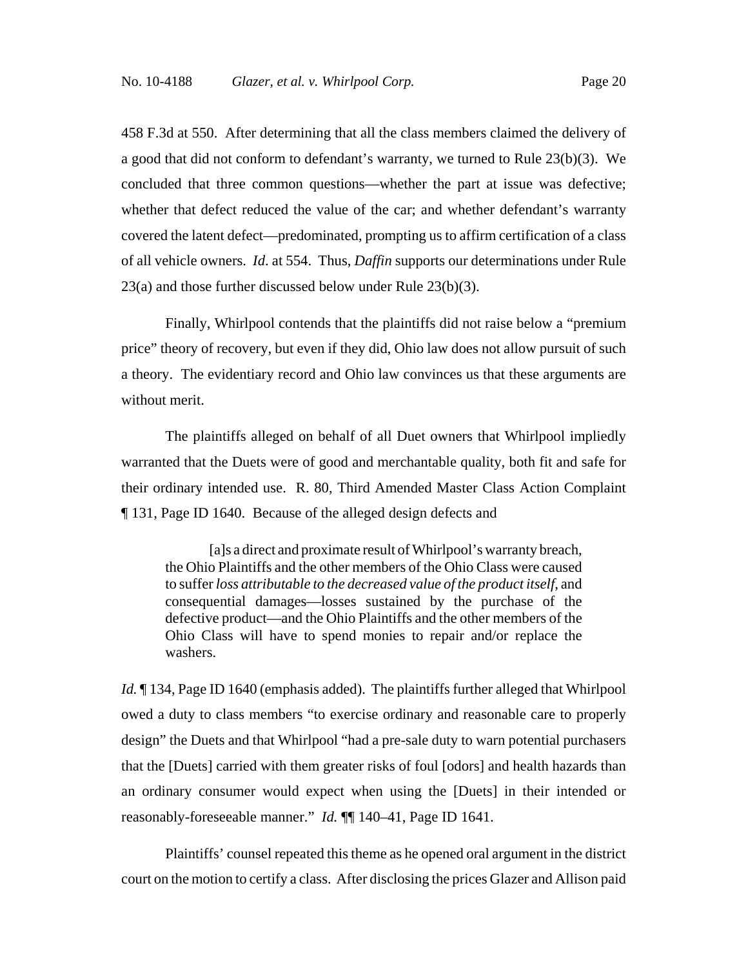458 F.3d at 550. After determining that all the class members claimed the delivery of a good that did not conform to defendant's warranty, we turned to Rule 23(b)(3). We concluded that three common questions—whether the part at issue was defective; whether that defect reduced the value of the car; and whether defendant's warranty covered the latent defect—predominated, prompting us to affirm certification of a class of all vehicle owners. *Id*. at 554. Thus, *Daffin* supports our determinations under Rule 23(a) and those further discussed below under Rule 23(b)(3).

Finally, Whirlpool contends that the plaintiffs did not raise below a "premium price" theory of recovery, but even if they did, Ohio law does not allow pursuit of such a theory. The evidentiary record and Ohio law convinces us that these arguments are without merit.

The plaintiffs alleged on behalf of all Duet owners that Whirlpool impliedly warranted that the Duets were of good and merchantable quality, both fit and safe for their ordinary intended use. R. 80, Third Amended Master Class Action Complaint ¶ 131, Page ID 1640. Because of the alleged design defects and

[a]s a direct and proximate result of Whirlpool's warranty breach, the Ohio Plaintiffs and the other members of the Ohio Class were caused to suffer *loss attributable to the decreased value of the product itself*, and consequential damages—losses sustained by the purchase of the defective product—and the Ohio Plaintiffs and the other members of the Ohio Class will have to spend monies to repair and/or replace the washers.

*Id.* ¶ 134, Page ID 1640 (emphasis added). The plaintiffs further alleged that Whirlpool owed a duty to class members "to exercise ordinary and reasonable care to properly design" the Duets and that Whirlpool "had a pre-sale duty to warn potential purchasers that the [Duets] carried with them greater risks of foul [odors] and health hazards than an ordinary consumer would expect when using the [Duets] in their intended or reasonably-foreseeable manner." *Id.* ¶¶ 140–41, Page ID 1641.

Plaintiffs' counsel repeated this theme as he opened oral argument in the district court on the motion to certify a class. After disclosing the prices Glazer and Allison paid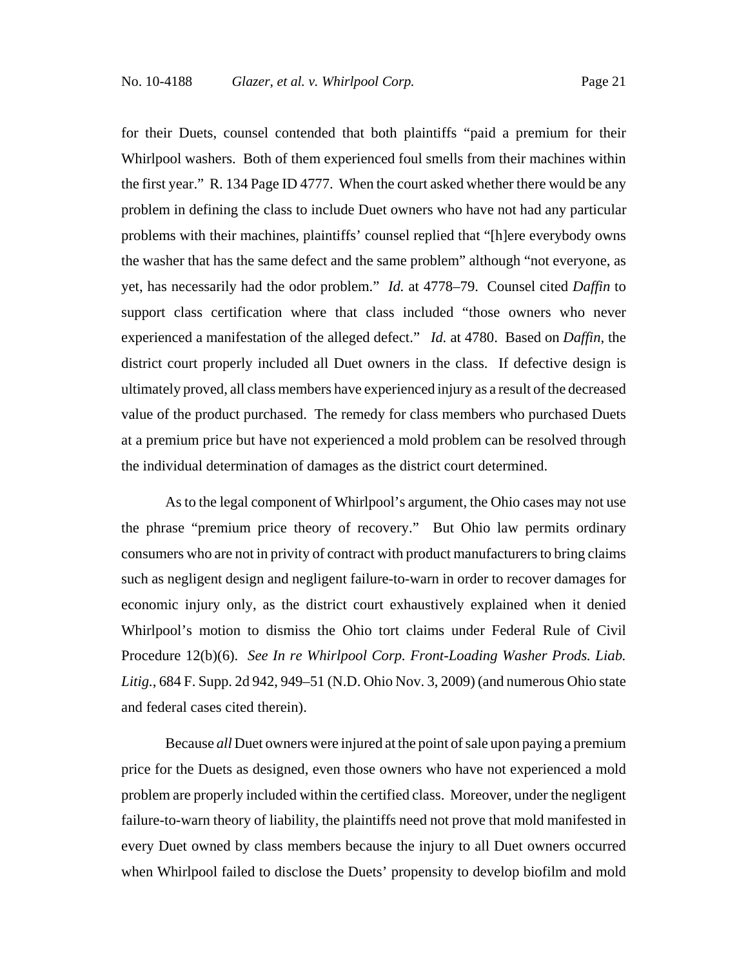for their Duets, counsel contended that both plaintiffs "paid a premium for their Whirlpool washers. Both of them experienced foul smells from their machines within the first year." R. 134 Page ID 4777. When the court asked whether there would be any problem in defining the class to include Duet owners who have not had any particular problems with their machines, plaintiffs' counsel replied that "[h]ere everybody owns the washer that has the same defect and the same problem" although "not everyone, as yet, has necessarily had the odor problem." *Id.* at 4778–79. Counsel cited *Daffin* to support class certification where that class included "those owners who never experienced a manifestation of the alleged defect." *Id.* at 4780. Based on *Daffin*, the district court properly included all Duet owners in the class. If defective design is ultimately proved, all class members have experienced injury as a result of the decreased value of the product purchased. The remedy for class members who purchased Duets at a premium price but have not experienced a mold problem can be resolved through the individual determination of damages as the district court determined.

As to the legal component of Whirlpool's argument, the Ohio cases may not use the phrase "premium price theory of recovery." But Ohio law permits ordinary consumers who are not in privity of contract with product manufacturers to bring claims such as negligent design and negligent failure-to-warn in order to recover damages for economic injury only, as the district court exhaustively explained when it denied Whirlpool's motion to dismiss the Ohio tort claims under Federal Rule of Civil Procedure 12(b)(6). *See In re Whirlpool Corp. Front-Loading Washer Prods. Liab. Litig.*, 684 F. Supp. 2d 942, 949–51 (N.D. Ohio Nov. 3, 2009) (and numerous Ohio state and federal cases cited therein).

Because *all* Duet owners were injured at the point of sale upon paying a premium price for the Duets as designed, even those owners who have not experienced a mold problem are properly included within the certified class. Moreover, under the negligent failure-to-warn theory of liability, the plaintiffs need not prove that mold manifested in every Duet owned by class members because the injury to all Duet owners occurred when Whirlpool failed to disclose the Duets' propensity to develop biofilm and mold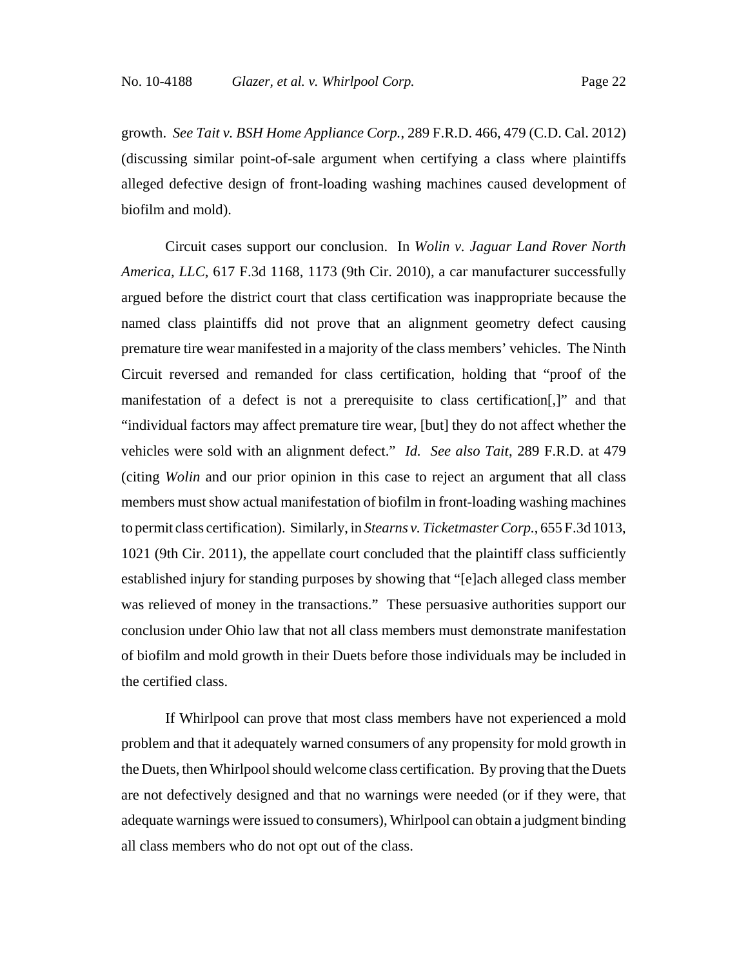growth. *See Tait v. BSH Home Appliance Corp.*, 289 F.R.D. 466, 479 (C.D. Cal. 2012) (discussing similar point-of-sale argument when certifying a class where plaintiffs alleged defective design of front-loading washing machines caused development of biofilm and mold).

Circuit cases support our conclusion. In *Wolin v. Jaguar Land Rover North America, LLC*, 617 F.3d 1168, 1173 (9th Cir. 2010), a car manufacturer successfully argued before the district court that class certification was inappropriate because the named class plaintiffs did not prove that an alignment geometry defect causing premature tire wear manifested in a majority of the class members' vehicles. The Ninth Circuit reversed and remanded for class certification, holding that "proof of the manifestation of a defect is not a prerequisite to class certification[,]" and that "individual factors may affect premature tire wear, [but] they do not affect whether the vehicles were sold with an alignment defect." *Id. See also Tait*, 289 F.R.D. at 479 (citing *Wolin* and our prior opinion in this case to reject an argument that all class members must show actual manifestation of biofilm in front-loading washing machines to permit class certification). Similarly, in *Stearns v. Ticketmaster Corp.*, 655 F.3d 1013, 1021 (9th Cir. 2011), the appellate court concluded that the plaintiff class sufficiently established injury for standing purposes by showing that "[e]ach alleged class member was relieved of money in the transactions." These persuasive authorities support our conclusion under Ohio law that not all class members must demonstrate manifestation of biofilm and mold growth in their Duets before those individuals may be included in the certified class.

If Whirlpool can prove that most class members have not experienced a mold problem and that it adequately warned consumers of any propensity for mold growth in the Duets, then Whirlpool should welcome class certification. By proving that the Duets are not defectively designed and that no warnings were needed (or if they were, that adequate warnings were issued to consumers), Whirlpool can obtain a judgment binding all class members who do not opt out of the class.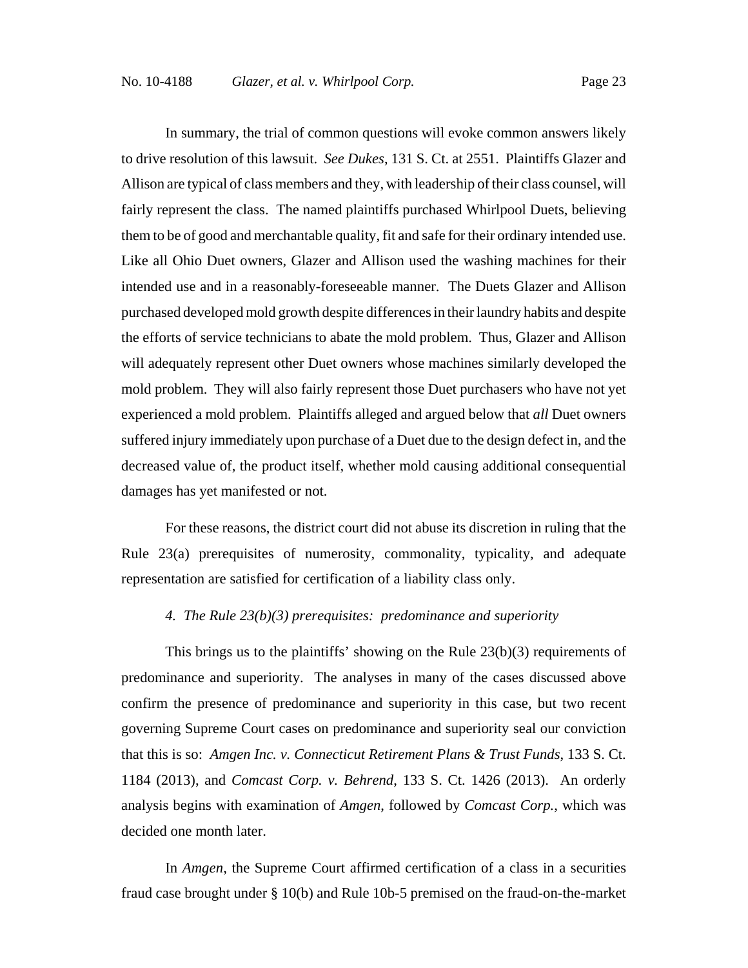In summary, the trial of common questions will evoke common answers likely to drive resolution of this lawsuit. *See Dukes*, 131 S. Ct. at 2551. Plaintiffs Glazer and Allison are typical of class members and they, with leadership of their class counsel, will fairly represent the class. The named plaintiffs purchased Whirlpool Duets, believing them to be of good and merchantable quality, fit and safe for their ordinary intended use. Like all Ohio Duet owners, Glazer and Allison used the washing machines for their intended use and in a reasonably-foreseeable manner. The Duets Glazer and Allison purchased developed mold growth despite differences in their laundry habits and despite the efforts of service technicians to abate the mold problem. Thus, Glazer and Allison will adequately represent other Duet owners whose machines similarly developed the mold problem. They will also fairly represent those Duet purchasers who have not yet experienced a mold problem. Plaintiffs alleged and argued below that *all* Duet owners suffered injury immediately upon purchase of a Duet due to the design defect in, and the decreased value of, the product itself, whether mold causing additional consequential damages has yet manifested or not.

For these reasons, the district court did not abuse its discretion in ruling that the Rule 23(a) prerequisites of numerosity, commonality, typicality, and adequate representation are satisfied for certification of a liability class only.

#### *4. The Rule 23(b)(3) prerequisites: predominance and superiority*

This brings us to the plaintiffs' showing on the Rule 23(b)(3) requirements of predominance and superiority. The analyses in many of the cases discussed above confirm the presence of predominance and superiority in this case, but two recent governing Supreme Court cases on predominance and superiority seal our conviction that this is so: *Amgen Inc. v. Connecticut Retirement Plans & Trust Funds*, 133 S. Ct. 1184 (2013), and *Comcast Corp. v. Behrend*, 133 S. Ct. 1426 (2013). An orderly analysis begins with examination of *Amgen*, followed by *Comcast Corp.*, which was decided one month later.

In *Amgen*, the Supreme Court affirmed certification of a class in a securities fraud case brought under § 10(b) and Rule 10b-5 premised on the fraud-on-the-market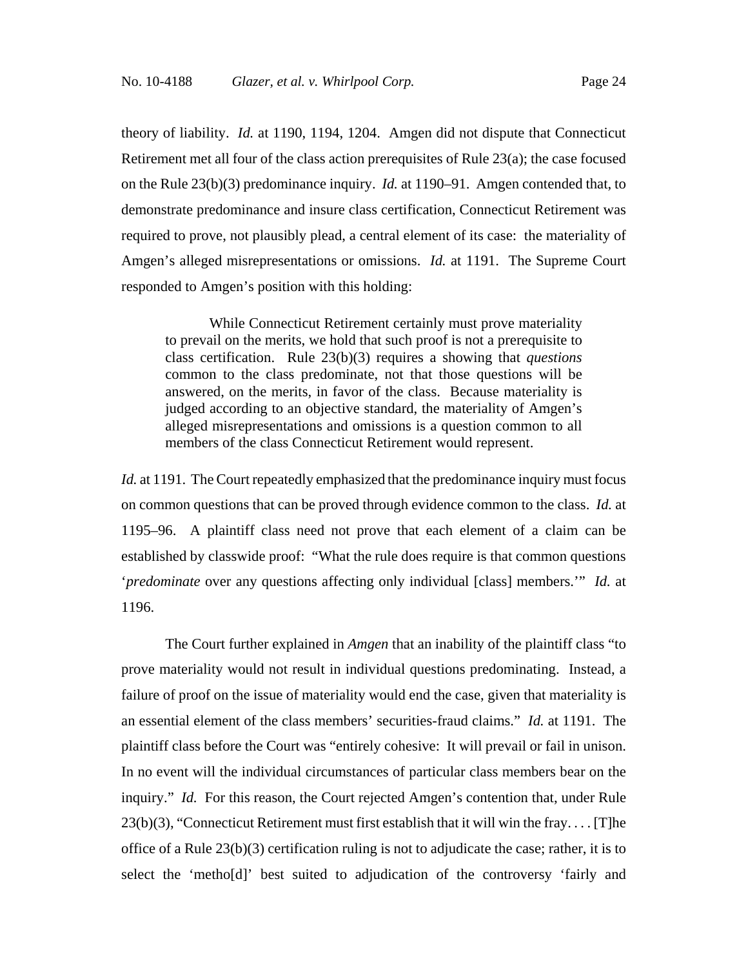theory of liability. *Id.* at 1190, 1194, 1204. Amgen did not dispute that Connecticut Retirement met all four of the class action prerequisites of Rule 23(a); the case focused on the Rule 23(b)(3) predominance inquiry. *Id.* at 1190–91. Amgen contended that, to demonstrate predominance and insure class certification, Connecticut Retirement was required to prove, not plausibly plead, a central element of its case: the materiality of Amgen's alleged misrepresentations or omissions. *Id.* at 1191. The Supreme Court responded to Amgen's position with this holding:

While Connecticut Retirement certainly must prove materiality to prevail on the merits, we hold that such proof is not a prerequisite to class certification. Rule 23(b)(3) requires a showing that *questions* common to the class predominate, not that those questions will be answered, on the merits, in favor of the class. Because materiality is judged according to an objective standard, the materiality of Amgen's alleged misrepresentations and omissions is a question common to all members of the class Connecticut Retirement would represent.

*Id.* at 1191. The Court repeatedly emphasized that the predominance inquiry must focus on common questions that can be proved through evidence common to the class. *Id.* at 1195–96. A plaintiff class need not prove that each element of a claim can be established by classwide proof: "What the rule does require is that common questions '*predominate* over any questions affecting only individual [class] members.'" *Id.* at 1196.

The Court further explained in *Amgen* that an inability of the plaintiff class "to prove materiality would not result in individual questions predominating. Instead, a failure of proof on the issue of materiality would end the case, given that materiality is an essential element of the class members' securities-fraud claims." *Id.* at 1191. The plaintiff class before the Court was "entirely cohesive: It will prevail or fail in unison. In no event will the individual circumstances of particular class members bear on the inquiry." *Id.* For this reason, the Court rejected Amgen's contention that, under Rule  $23(b)(3)$ , "Connecticut Retirement must first establish that it will win the fray.... [T]he office of a Rule  $23(b)(3)$  certification ruling is not to adjudicate the case; rather, it is to select the 'metho[d]' best suited to adjudication of the controversy 'fairly and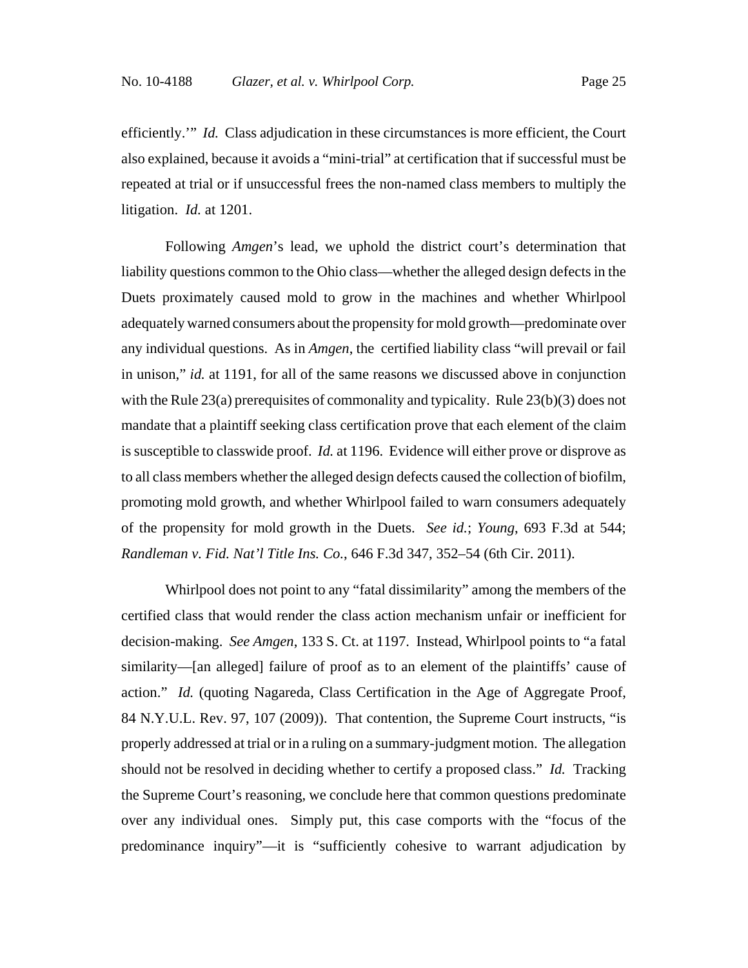efficiently.'" *Id.* Class adjudication in these circumstances is more efficient, the Court also explained, because it avoids a "mini-trial" at certification that if successful must be repeated at trial or if unsuccessful frees the non-named class members to multiply the litigation. *Id.* at 1201.

Following *Amgen*'s lead, we uphold the district court's determination that liability questions common to the Ohio class—whether the alleged design defects in the Duets proximately caused mold to grow in the machines and whether Whirlpool adequately warned consumers about the propensity for mold growth—predominate over any individual questions. As in *Amgen*, the certified liability class "will prevail or fail in unison," *id.* at 1191, for all of the same reasons we discussed above in conjunction with the Rule  $23(a)$  prerequisites of commonality and typicality. Rule  $23(b)(3)$  does not mandate that a plaintiff seeking class certification prove that each element of the claim is susceptible to classwide proof. *Id.* at 1196. Evidence will either prove or disprove as to all class members whether the alleged design defects caused the collection of biofilm, promoting mold growth, and whether Whirlpool failed to warn consumers adequately of the propensity for mold growth in the Duets. *See id.*; *Young*, 693 F.3d at 544; *Randleman v. Fid. Nat'l Title Ins. Co.*, 646 F.3d 347, 352–54 (6th Cir. 2011).

Whirlpool does not point to any "fatal dissimilarity" among the members of the certified class that would render the class action mechanism unfair or inefficient for decision-making. *See Amgen*, 133 S. Ct. at 1197. Instead, Whirlpool points to "a fatal similarity—[an alleged] failure of proof as to an element of the plaintiffs' cause of action." *Id.* (quoting Nagareda, Class Certification in the Age of Aggregate Proof, 84 N.Y.U.L. Rev. 97, 107 (2009)). That contention, the Supreme Court instructs, "is properly addressed at trial or in a ruling on a summary-judgment motion. The allegation should not be resolved in deciding whether to certify a proposed class." *Id.* Tracking the Supreme Court's reasoning, we conclude here that common questions predominate over any individual ones. Simply put, this case comports with the "focus of the predominance inquiry"—it is "sufficiently cohesive to warrant adjudication by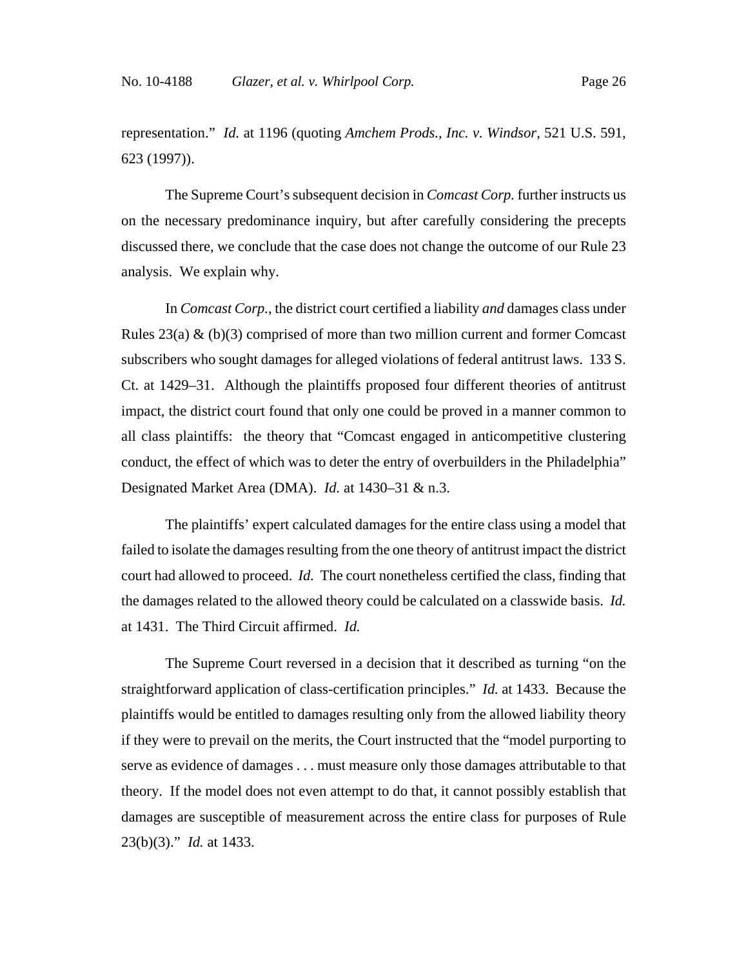representation." *Id.* at 1196 (quoting *Amchem Prods., Inc. v. Windsor*, 521 U.S. 591, 623 (1997)).

The Supreme Court's subsequent decision in *Comcast Corp.* further instructs us on the necessary predominance inquiry, but after carefully considering the precepts discussed there, we conclude that the case does not change the outcome of our Rule 23 analysis. We explain why.

In *Comcast Corp.*, the district court certified a liability *and* damages class under Rules  $23(a) \& (b)(3)$  comprised of more than two million current and former Comcast subscribers who sought damages for alleged violations of federal antitrust laws. 133 S. Ct. at 1429–31. Although the plaintiffs proposed four different theories of antitrust impact, the district court found that only one could be proved in a manner common to all class plaintiffs: the theory that "Comcast engaged in anticompetitive clustering conduct, the effect of which was to deter the entry of overbuilders in the Philadelphia" Designated Market Area (DMA). *Id.* at 1430–31 & n.3.

The plaintiffs' expert calculated damages for the entire class using a model that failed to isolate the damages resulting from the one theory of antitrust impact the district court had allowed to proceed. *Id.* The court nonetheless certified the class, finding that the damages related to the allowed theory could be calculated on a classwide basis. *Id.* at 1431. The Third Circuit affirmed. *Id.*

The Supreme Court reversed in a decision that it described as turning "on the straightforward application of class-certification principles." *Id.* at 1433. Because the plaintiffs would be entitled to damages resulting only from the allowed liability theory if they were to prevail on the merits, the Court instructed that the "model purporting to serve as evidence of damages . . . must measure only those damages attributable to that theory. If the model does not even attempt to do that, it cannot possibly establish that damages are susceptible of measurement across the entire class for purposes of Rule 23(b)(3)." *Id.* at 1433.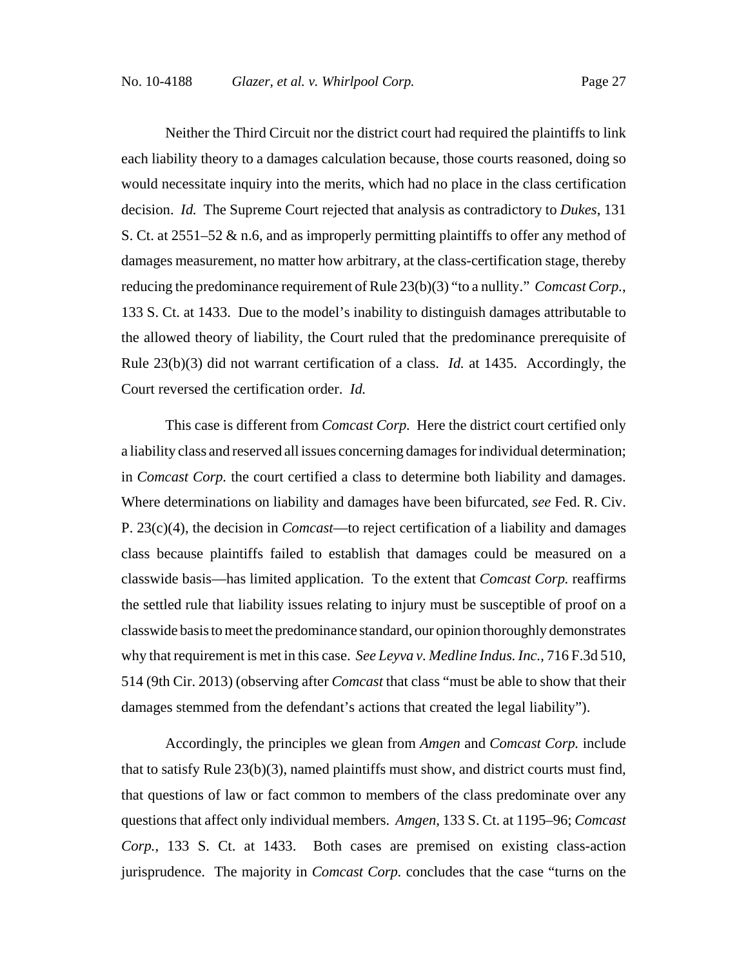Neither the Third Circuit nor the district court had required the plaintiffs to link each liability theory to a damages calculation because, those courts reasoned, doing so would necessitate inquiry into the merits, which had no place in the class certification decision. *Id.* The Supreme Court rejected that analysis as contradictory to *Dukes*, 131 S. Ct. at 2551–52 & n.6, and as improperly permitting plaintiffs to offer any method of damages measurement, no matter how arbitrary, at the class-certification stage, thereby reducing the predominance requirement of Rule 23(b)(3) "to a nullity." *Comcast Corp.*, 133 S. Ct. at 1433. Due to the model's inability to distinguish damages attributable to the allowed theory of liability, the Court ruled that the predominance prerequisite of Rule 23(b)(3) did not warrant certification of a class. *Id.* at 1435. Accordingly, the Court reversed the certification order. *Id.*

This case is different from *Comcast Corp.* Here the district court certified only a liability class and reserved all issues concerning damages for individual determination; in *Comcast Corp.* the court certified a class to determine both liability and damages. Where determinations on liability and damages have been bifurcated, *see* Fed. R. Civ. P. 23(c)(4), the decision in *Comcast*—to reject certification of a liability and damages class because plaintiffs failed to establish that damages could be measured on a classwide basis—has limited application. To the extent that *Comcast Corp.* reaffirms the settled rule that liability issues relating to injury must be susceptible of proof on a classwide basis to meet the predominance standard, our opinion thoroughly demonstrates why that requirement is met in this case. *See Leyva v. Medline Indus. Inc.*, 716 F.3d 510, 514 (9th Cir. 2013) (observing after *Comcast* that class "must be able to show that their damages stemmed from the defendant's actions that created the legal liability").

Accordingly, the principles we glean from *Amgen* and *Comcast Corp.* include that to satisfy Rule 23(b)(3), named plaintiffs must show, and district courts must find, that questions of law or fact common to members of the class predominate over any questions that affect only individual members. *Amgen*, 133 S. Ct. at 1195–96; *Comcast Corp.*, 133 S. Ct. at 1433. Both cases are premised on existing class-action jurisprudence. The majority in *Comcast Corp.* concludes that the case "turns on the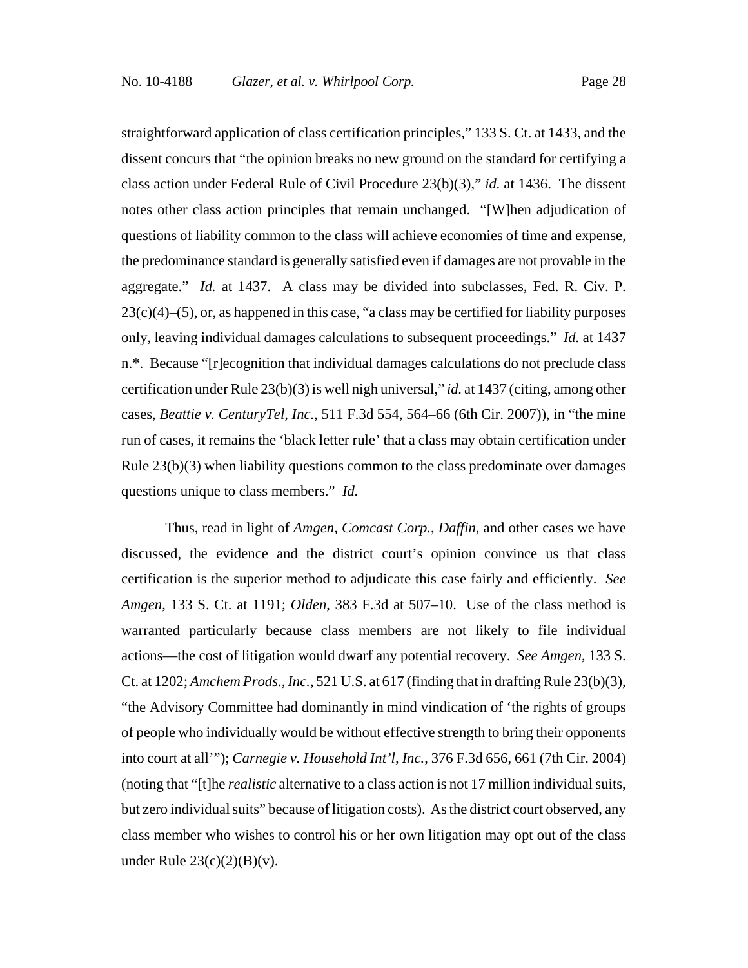straightforward application of class certification principles," 133 S. Ct. at 1433, and the dissent concurs that "the opinion breaks no new ground on the standard for certifying a class action under Federal Rule of Civil Procedure 23(b)(3)," *id.* at 1436. The dissent notes other class action principles that remain unchanged. "[W]hen adjudication of questions of liability common to the class will achieve economies of time and expense, the predominance standard is generally satisfied even if damages are not provable in the aggregate." *Id.* at 1437. A class may be divided into subclasses, Fed. R. Civ. P.  $23(c)(4)$ –(5), or, as happened in this case, "a class may be certified for liability purposes only, leaving individual damages calculations to subsequent proceedings." *Id.* at 1437 n.\*. Because "[r]ecognition that individual damages calculations do not preclude class certification under Rule 23(b)(3) is well nigh universal," *id.* at 1437 (citing, among other cases, *Beattie v. CenturyTel, Inc.*, 511 F.3d 554, 564–66 (6th Cir. 2007)), in "the mine run of cases, it remains the 'black letter rule' that a class may obtain certification under Rule 23(b)(3) when liability questions common to the class predominate over damages questions unique to class members." *Id.*

Thus, read in light of *Amgen, Comcast Corp.*, *Daffin*, and other cases we have discussed, the evidence and the district court's opinion convince us that class certification is the superior method to adjudicate this case fairly and efficiently. *See Amgen*, 133 S. Ct. at 1191; *Olden*, 383 F.3d at 507–10. Use of the class method is warranted particularly because class members are not likely to file individual actions—the cost of litigation would dwarf any potential recovery. *See Amgen*, 133 S. Ct. at 1202; *Amchem Prods., Inc.*, 521 U.S. at 617 (finding that in drafting Rule 23(b)(3), "the Advisory Committee had dominantly in mind vindication of 'the rights of groups of people who individually would be without effective strength to bring their opponents into court at all'"); *Carnegie v. Household Int'l, Inc.*, 376 F.3d 656, 661 (7th Cir. 2004) (noting that "[t]he *realistic* alternative to a class action is not 17 million individual suits, but zero individual suits" because of litigation costs). As the district court observed, any class member who wishes to control his or her own litigation may opt out of the class under Rule  $23(c)(2)(B)(v)$ .